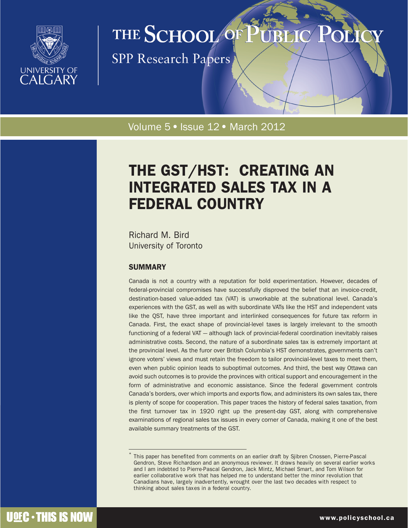

# THE SCHOOL OF

**SPP Research Papers** 

Volume 5 · Issue 12 · March 2012

# THE GST/HST: CREATING AN INTEGRATED SALES TAX IN A FEDERAL COUNTRY

Richard M. Bird University of Toronto

# SUMMARY

Canada is not a country with a reputation for bold experimentation. However, decades of federal-provincial compromises have successfully disproved the belief that an invoice-credit, destination-based value-added tax (VAT) is unworkable at the subnational level. Canada's experiences with the GST, as well as with subordinate VATs like the HST and independent vats like the QST, have three important and interlinked consequences for future tax reform in Canada. First, the exact shape of provincial-level taxes is largely irrelevant to the smooth functioning of a federal VAT — although lack of provincial-federal coordination inevitably raises administrative costs. Second, the nature of a subordinate sales tax is extremely important at the provincial level. As the furor over British Columbia's HST demonstrates, governments can't ignore voters' views and must retain the freedom to tailor provincial-level taxes to meet them, even when public opinion leads to suboptimal outcomes. And third, the best way Ottawa can avoid such outcomes is to provide the provinces with critical support and encouragement in the form of administrative and economic assistance. Since the federal government controls Canada's borders, over which imports and exports flow, and administers its own sales tax, there is plenty of scope for cooperation. This paper traces the history of federal sales taxation, from the first turnover tax in 1920 right up the present-day GST, along with comprehensive examinations of regional sales tax issues in every corner of Canada, making it one of the best available summary treatments of the GST.

This paper has benefited from comments on an earlier draft by Sjibren Cnossen, Pierre-Pascal Gendron, Steve Richardson and an anonymous reviewer. It draws heavily on several earlier works and I am indebted to Pierre-Pascal Gendron, Jack Mintz, Michael Smart, and Tom Wilson for earlier collaborative work that has helped me to understand better the minor revolution that Canadians have, largely inadvertently, wrought over the last two decades with respect to thinking about sales taxes in a federal country.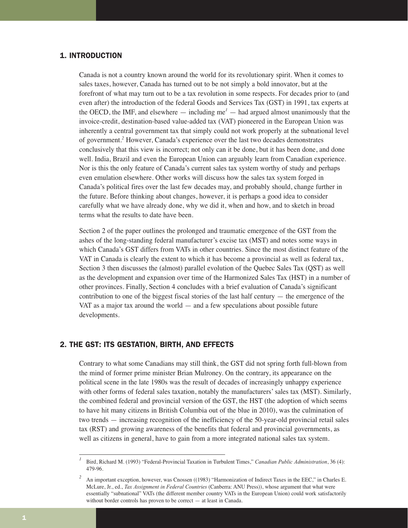# 1. INTRODUCTION

Canada is not a country known around the world for its revolutionary spirit. When it comes to sales taxes, however, Canada has turned out to be not simply a bold innovator, but at the forefront of what may turn out to be a tax revolution in some respects. For decades prior to (and even after) the introduction of the federal Goods and Services Tax (GST) in 1991, tax experts at the OECD, the IMF, and elsewhere  $-$  including me<sup> $1$ </sup>  $-$  had argued almost unanimously that the invoice-credit, destination-based value-added tax (VAT) pioneered in the European Union was inherently a central government tax that simply could not work properly at the subnational level of government.*<sup>2</sup>* However, Canada's experience over the last two decades demonstrates conclusively that this view is incorrect; not only can it be done, but it has been done, and done well. India, Brazil and even the European Union can arguably learn from Canadian experience. Nor is this the only feature of Canada's current sales tax system worthy of study and perhaps even emulation elsewhere. Other works will discuss how the sales tax system forged in Canada's political fires over the last few decades may, and probably should, change further in the future. Before thinking about changes, however, it is perhaps a good idea to consider carefully what we have already done, why we did it, when and how, and to sketch in broad terms what the results to date have been.

Section 2 of the paper outlines the prolonged and traumatic emergence of the GST from the ashes of the long-standing federal manufacturer's excise tax (MST) and notes some ways in which Canada's GST differs from VATs in other countries. Since the most distinct feature of the VAT in Canada is clearly the extent to which it has become a provincial as well as federal tax, Section 3 then discusses the (almost) parallel evolution of the Quebec Sales Tax (QST) as well as the development and expansion over time of the Harmonized Sales Tax (HST) in a number of other provinces. Finally, Section 4 concludes with a brief evaluation of Canada's significant contribution to one of the biggest fiscal stories of the last half century — the emergence of the VAT as a major tax around the world  $-$  and a few speculations about possible future developments.

# 2. THE GST: ITS GESTATION, BIRTH, AND EFFECTS

Contrary to what some Canadians may still think, the GST did not spring forth full-blown from the mind of former prime minister Brian Mulroney. On the contrary, its appearance on the political scene in the late 1980s was the result of decades of increasingly unhappy experience with other forms of federal sales taxation, notably the manufacturers' sales tax (MST). Similarly, the combined federal and provincial version of the GST, the HST (the adoption of which seems to have hit many citizens in British Columbia out of the blue in 2010), was the culmination of two trends — increasing recognition of the inefficiency of the 50-year-old provincial retail sales tax (RST) and growing awareness of the benefits that federal and provincial governments, as well as citizens in general, have to gain from a more integrated national sales tax system.

*<sup>1</sup>* Bird, Richard M. (1993) "Federal-Provincial Taxation in Turbulent Times," *Canadian Public Administration*, 36 (4): 479-96.

<sup>&</sup>lt;sup>2</sup> An important exception, however, was Cnossen ((1983) "Harmonization of Indirect Taxes in the EEC," in Charles E. McLure, Jr., ed., *Tax Assignment in Federal Countries* (Canberra: ANU Press)), whose argument that what were essentially "subnational" VATs (the different member country VATs in the European Union) could work satisfactorily without border controls has proven to be correct — at least in Canada.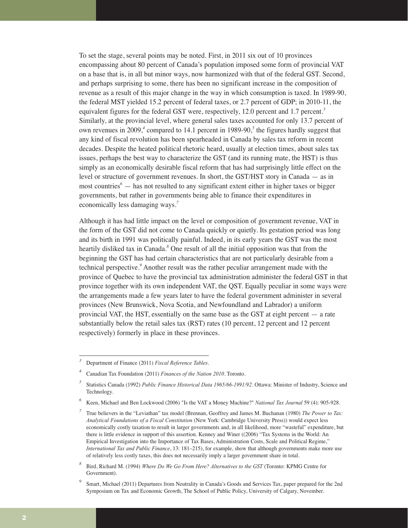To set the stage, several points may be noted. First, in 2011 six out of 10 provinces encompassing about 80 percent of Canada's population imposed some form of provincial VAT on a base that is, in all but minor ways, now harmonized with that of the federal GST. Second, and perhaps surprising to some, there has been no significant increase in the composition of revenue as a result of this major change in the way in which consumption is taxed. In 1989-90, the federal MST yielded 15.2 percent of federal taxes, or 2.7 percent of GDP; in 2010-11, the equivalent figures for the federal GST were, respectively, 12.0 percent and 1.7 percent.*<sup>3</sup>* Similarly, at the provincial level, where general sales taxes accounted for only 13.7 percent of own revenues in 2009,*<sup>4</sup>* compared to 14.1 percent in 1989-90,*<sup>5</sup>* the figures hardly suggest that any kind of fiscal revolution has been spearheaded in Canada by sales tax reform in recent decades. Despite the heated political rhetoric heard, usually at election times, about sales tax issues, perhaps the best way to characterize the GST (and its running mate, the HST) is thus simply as an economically desirable fiscal reform that has had surprisingly little effect on the level or structure of government revenues. In short, the GST/HST story in Canada — as in most countries*<sup>6</sup>* — has not resulted to any significant extent either in higher taxes or bigger governments, but rather in governments being able to finance their expenditures in economically less damaging ways.*<sup>7</sup>*

Although it has had little impact on the level or composition of government revenue, VAT in the form of the GST did not come to Canada quickly or quietly. Its gestation period was long and its birth in 1991 was politically painful. Indeed, in its early years the GST was the most heartily disliked tax in Canada.*<sup>8</sup>* One result of all the initial opposition was that from the beginning the GST has had certain characteristics that are not particularly desirable from a technical perspective.*<sup>9</sup>* Another result was the rather peculiar arrangement made with the province of Quebec to have the provincial tax administration administer the federal GST in that province together with its own independent VAT, the QST. Equally peculiar in some ways were the arrangements made a few years later to have the federal government administer in several provinces (New Brunswick, Nova Scotia, and Newfoundland and Labrador) a uniform provincial VAT, the HST, essentially on the same base as the GST at eight percent  $-$  a rate substantially below the retail sales tax (RST) rates (10 percent, 12 percent and 12 percent respectively) formerly in place in these provinces.

*<sup>3</sup>* Department of Finance (2011) *Fiscal Reference Tables*.

*<sup>4</sup>* Canadian Tax Foundation (2011) *Finances of the Nation 2010*. Toronto.

*<sup>5</sup>* Statistics Canada (1992) *Public Finance Historical Data 1965/66-1991/92*. Ottawa: Minister of Industry, Science and Technology.

Keen, Michael and Ben Lockwood (2006) "Is the VAT a Money Machine?" *National Tax Journal* 59 (4): 905-928.

*<sup>7</sup>* True believers in the "Leviathan" tax model (Brennan, Geoffrey and James M. Buchanan (1980) *The Power to Tax: Analytical Foundations of a Fiscal Constitution* (New York: Cambridge University Press)) would expect less economically costly taxation to result in larger governments and, in all likelihood, more "wasteful" expenditure, but there is little evidence in support of this assertion. Kenney and Winer ((2006) "Tax Systems in the World: An Empirical Investigation into the Importance of Tax Bases, Administration Costs, Scale and Political Regime," *International Tax and Public Finance*, 13: 181–215), for example, show that although governments make more use of relatively less costly taxes, this does not necessarily imply a larger government share in total.

*<sup>8</sup>* Bird, Richard M. (1994) *Where Do We Go From Here? Alternatives to the GST* (Toronto: KPMG Centre for Government).

*<sup>9</sup>* Smart, Michael (2011) Departures from Neutrality in Canada's Goods and Services Tax, paper prepared for the 2nd Symposium on Tax and Economic Growth, The School of Public Policy, University of Calgary, November.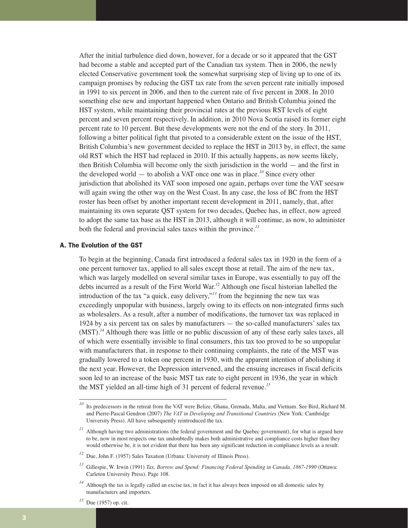After the initial turbulence died down, however, for a decade or so it appeared that the GST had become a stable and accepted part of the Canadian tax system. Then in 2006, the newly elected Conservative government took the somewhat surprising step of living up to one of its campaign promises by reducing the GST tax rate from the seven percent rate initially imposed in 1991 to six percent in 2006, and then to the current rate of five percent in 2008. In 2010 something else new and important happened when Ontario and British Columbia joined the HST system, while maintaining their provincial rates at the previous RST levels of eight percent and seven percent respectively. In addition, in 2010 Nova Scotia raised its former eight percent rate to 10 percent. But these developments were not the end of the story. In 2011, following a bitter political fight that pivoted to a considerable extent on the issue of the HST, British Columbia's new government decided to replace the HST in 2013 by, in effect, the same old RST which the HST had replaced in 2010. If this actually happens, as now seems likely, then British Columbia will become only the sixth jurisdiction in the world — and the first in the developed world — to abolish a VAT once one was in place.*<sup>10</sup>* Since every other jurisdiction that abolished its VAT soon imposed one again, perhaps over time the VAT seesaw will again swing the other way on the West Coast. In any case, the loss of BC from the HST roster has been offset by another important recent development in 2011, namely, that, after maintaining its own separate QST system for two decades, Quebec has, in effect, now agreed to adopt the same tax base as the HST in 2013, although it will continue, as now, to administer both the federal and provincial sales taxes within the province.*<sup>11</sup>*

# A. The Evolution of the GST

To begin at the beginning, Canada first introduced a federal sales tax in 1920 in the form of a one percent turnover tax, applied to all sales except those at retail. The aim of the new tax, which was largely modelled on several similar taxes in Europe, was essentially to pay off the debts incurred as a result of the First World War.*<sup>12</sup>* Although one fiscal historian labelled the introduction of the tax "a quick, easy delivery,"*<sup>13</sup>* from the beginning the new tax was exceedingly unpopular with business, largely owing to its effects on non-integrated firms such as wholesalers. As a result, after a number of modifications, the turnover tax was replaced in 1924 by a six percent tax on sales by manufacturers — the so-called manufacturers' sales tax (MST).*<sup>14</sup>* Although there was little or no public discussion of any of these early sales taxes, all of which were essentially invisible to final consumers, this tax too proved to be so unpopular with manufacturers that, in response to their continuing complaints, the rate of the MST was gradually lowered to a token one percent in 1930, with the apparent intention of abolishing it the next year. However, the Depression intervened, and the ensuing increases in fiscal deficits soon led to an increase of the basic MST tax rate to eight percent in 1936, the year in which the MST yielded an all-time high of 31 percent of federal revenue.*<sup>15</sup>*

<sup>&</sup>lt;sup>10</sup> Its predecessors in the retreat from the VAT were Belize, Ghana, Grenada, Malta, and Vietnam. See Bird, Richard M. and Pierre-Pascal Gendron (2007) *The VAT in Developing and Transitional Countries* (New York: Cambridge University Press). All have subsequently reintroduced the tax.

<sup>&</sup>lt;sup>11</sup> Although having two administrations (the federal government and the Quebec government), for what is argued here to be, now in most respects one tax undoubtedly makes both administrative and compliance costs higher than they would otherwise be, it is not evident that there has been any significant reduction in compliance levels as a result.

*<sup>12</sup>* Due, John F. (1957) Sales Taxation (Urbana: University of Illinois Press).

*<sup>13</sup>* Gillespie, W. Irwin (1991) *Tax, Borrow and Spend: Financing Federal Spending in Canada, 1867-1990* (Ottawa: Carleton University Press). Page 108.

<sup>&</sup>lt;sup>14</sup> Although the tax is legally called an excise tax, in fact it has always been imposed on all domestic sales by manufacturers and importers.

*<sup>15</sup>* Due (1957) op. cit.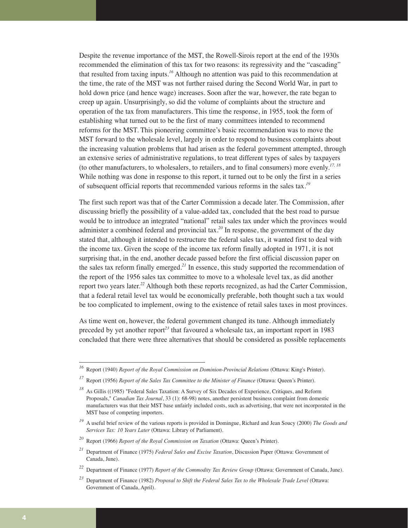Despite the revenue importance of the MST, the Rowell-Sirois report at the end of the 1930s recommended the elimination of this tax for two reasons: its regressivity and the "cascading" that resulted from taxing inputs.*<sup>16</sup>* Although no attention was paid to this recommendation at the time, the rate of the MST was not further raised during the Second World War, in part to hold down price (and hence wage) increases. Soon after the war, however, the rate began to creep up again. Unsurprisingly, so did the volume of complaints about the structure and operation of the tax from manufacturers. This time the response, in 1955, took the form of establishing what turned out to be the first of many committees intended to recommend reforms for the MST. This pioneering committee's basic recommendation was to move the MST forward to the wholesale level, largely in order to respond to business complaints about the increasing valuation problems that had arisen as the federal government attempted, through an extensive series of administrative regulations, to treat different types of sales by taxpayers (to other manufacturers, to wholesalers, to retailers, and to final consumers) more evenly.*17, 18* While nothing was done in response to this report, it turned out to be only the first in a series of subsequent official reports that recommended various reforms in the sales tax.*<sup>19</sup>*

The first such report was that of the Carter Commission a decade later. The Commission, after discussing briefly the possibility of a value-added tax, concluded that the best road to pursue would be to introduce an integrated "national" retail sales tax under which the provinces would administer a combined federal and provincial tax.*<sup>20</sup>* In response, the government of the day stated that, although it intended to restructure the federal sales tax, it wanted first to deal with the income tax. Given the scope of the income tax reform finally adopted in 1971, it is not surprising that, in the end, another decade passed before the first official discussion paper on the sales tax reform finally emerged.*<sup>21</sup>* In essence, this study supported the recommendation of the report of the 1956 sales tax committee to move to a wholesale level tax, as did another report two years later.*<sup>22</sup>* Although both these reports recognized, as had the Carter Commission, that a federal retail level tax would be economically preferable, both thought such a tax would be too complicated to implement, owing to the existence of retail sales taxes in most provinces.

As time went on, however, the federal government changed its tune. Although immediately preceded by yet another report*<sup>23</sup>* that favoured a wholesale tax, an important report in 1983 concluded that there were three alternatives that should be considered as possible replacements

*<sup>16</sup>* Report (1940) *Report of the Royal Commission on Dominion-Provincial Relations* (Ottawa: King's Printer).

*<sup>17</sup>* Report (1956) *Report of the Sales Tax Committee to the Minister of Finance* (Ottawa: Queen's Printer).

<sup>&</sup>lt;sup>18</sup> As Gillis ((1985) "Federal Sales Taxation: A Survey of Six Decades of Experience, Critiques, and Reform Proposals," *Canadian Tax Journal*, 33 (1): 68-98) notes, another persistent business complaint from domestic manufacturers was that their MST base unfairly included costs, such as advertising, that were not incorporated in the MST base of competing importers.

*<sup>19</sup>* A useful brief review of the various reports is provided in Domingue, Richard and Jean Soucy (2000) *The Goods and Services Tax: 10 Years Later* (Ottawa: Library of Parliament).

*<sup>20</sup>* Report (1966) *Report of the Royal Commission on Taxation* (Ottawa: Queen's Printer).

*<sup>21</sup>* Department of Finance (1975) *Federal Sales and Excise Taxation*, Discussion Paper (Ottawa: Government of Canada, June).

*<sup>22</sup>* Department of Finance (1977) *Report of the Commodity Tax Review Group* (Ottawa: Government of Canada, June).

*<sup>23</sup>* Department of Finance (1982) *Proposal to Shift the Federal Sales Tax to the Wholesale Trade Level* (Ottawa: Government of Canada, April).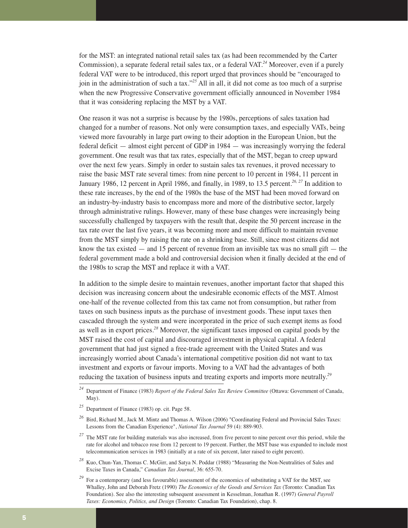for the MST: an integrated national retail sales tax (as had been recommended by the Carter Commission), a separate federal retail sales tax, or a federal VAT.*<sup>24</sup>* Moreover, even if a purely federal VAT were to be introduced, this report urged that provinces should be "encouraged to join in the administration of such a tax."*<sup>25</sup>* All in all, it did not come as too much of a surprise when the new Progressive Conservative government officially announced in November 1984 that it was considering replacing the MST by a VAT.

One reason it was not a surprise is because by the 1980s, perceptions of sales taxation had changed for a number of reasons. Not only were consumption taxes, and especially VATs, being viewed more favourably in large part owing to their adoption in the European Union, but the federal deficit — almost eight percent of GDP in 1984 — was increasingly worrying the federal government. One result was that tax rates, especially that of the MST, began to creep upward over the next few years. Simply in order to sustain sales tax revenues, it proved necessary to raise the basic MST rate several times: from nine percent to 10 percent in 1984, 11 percent in January 1986, 12 percent in April 1986, and finally, in 1989, to 13.5 percent.*26, 27* In addition to these rate increases, by the end of the 1980s the base of the MST had been moved forward on an industry-by-industry basis to encompass more and more of the distributive sector, largely through administrative rulings. However, many of these base changes were increasingly being successfully challenged by taxpayers with the result that, despite the 50 percent increase in the tax rate over the last five years, it was becoming more and more difficult to maintain revenue from the MST simply by raising the rate on a shrinking base. Still, since most citizens did not know the tax existed  $-$  and 15 percent of revenue from an invisible tax was no small gift  $-$  the federal government made a bold and controversial decision when it finally decided at the end of the 1980s to scrap the MST and replace it with a VAT.

In addition to the simple desire to maintain revenues, another important factor that shaped this decision was increasing concern about the undesirable economic effects of the MST. Almost one-half of the revenue collected from this tax came not from consumption, but rather from taxes on such business inputs as the purchase of investment goods. These input taxes then cascaded through the system and were incorporated in the price of such exempt items as food as well as in export prices.*<sup>28</sup>* Moreover, the significant taxes imposed on capital goods by the MST raised the cost of capital and discouraged investment in physical capital. A federal government that had just signed a free-trade agreement with the United States and was increasingly worried about Canada's international competitive position did not want to tax investment and exports or favour imports. Moving to a VAT had the advantages of both reducing the taxation of business inputs and treating exports and imports more neutrally.*<sup>29</sup>*

*<sup>24</sup>* Department of Finance (1983) *Report of the Federal Sales Tax Review Committee* (Ottawa: Government of Canada, May).

*<sup>25</sup>* Department of Finance (1983) op. cit. Page 58.

*<sup>26</sup>* Bird, Richard M., Jack M. Mintz and Thomas A. Wilson (2006) "Coordinating Federal and Provincial Sales Taxes: Lessons from the Canadian Experience", *National Tax Journal* 59 (4): 889-903.

<sup>&</sup>lt;sup>27</sup> The MST rate for building materials was also increased, from five percent to nine percent over this period, while the rate for alcohol and tobacco rose from 12 percent to 19 percent. Further, the MST base was expanded to include most telecommunication services in 1983 (initially at a rate of six percent, later raised to eight percent).

*<sup>28</sup>* Kuo, Chun-Yan, Thomas C. McGirr, and Satya N. Poddar (1988) "Measuring the Non-Neutralities of Sales and Excise Taxes in Canada," *Canadian Tax Journal*, 36: 655-70.

<sup>&</sup>lt;sup>29</sup> For a contemporary (and less favourable) assessment of the economics of substituting a VAT for the MST, see Whalley, John and Deborah Fretz (1990) *The Economics of the Goods and Services Tax* (Toronto: Canadian Tax Foundation). See also the interesting subsequent assessment in Kesselman, Jonathan R. (1997) *General Payroll Taxes: Economics, Politics, and Design* (Toronto: Canadian Tax Foundation), chap. 8.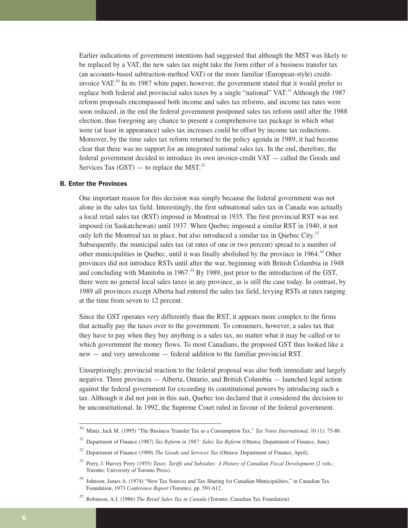Earlier indications of government intentions had suggested that although the MST was likely to be replaced by a VAT, the new sales tax might take the form either of a business transfer tax (an accounts-based subtraction-method VAT) or the more familiar (European-style) creditinvoice VAT.*<sup>30</sup>* In its 1987 white paper, however, the government stated that it would prefer to replace both federal and provincial sales taxes by a single "national" VAT.*<sup>31</sup>* Although the 1987 reform proposals encompassed both income and sales tax reforms, and income tax rates were soon reduced, in the end the federal government postponed sales tax reform until after the 1988 election, thus foregoing any chance to present a comprehensive tax package in which what were (at least in appearance) sales tax increases could be offset by income tax reductions. Moreover, by the time sales tax reform returned to the policy agenda in 1989, it had become clear that there was no support for an integrated national sales tax. In the end, therefore, the federal government decided to introduce its own invoice-credit VAT — called the Goods and Services Tax (GST) — to replace the MST.*<sup>32</sup>*

# B. Enter the Provinces

One important reason for this decision was simply because the federal government was not alone in the sales tax field. Interestingly, the first subnational sales tax in Canada was actually a local retail sales tax (RST) imposed in Montreal in 1935. The first provincial RST was not imposed (in Saskatchewan) until 1937. When Quebec imposed a similar RST in 1940, it not only left the Montreal tax in place, but also introduced a similar tax in Quebec City.*<sup>33</sup>* Subsequently, the municipal sales tax (at rates of one or two percent) spread to a number of other municipalities in Quebec, until it was finally abolished by the province in 1964.*<sup>34</sup>* Other provinces did not introduce RSTs until after the war, beginning with British Columbia in 1948 and concluding with Manitoba in 1967.*<sup>35</sup>* By 1989, just prior to the introduction of the GST, there were no general local sales taxes in any province, as is still the case today. In contrast, by 1989 all provinces except Alberta had entered the sales tax field, levying RSTs at rates ranging at the time from seven to 12 percent.

Since the GST operates very differently than the RST, it appears more complex to the firms that actually pay the taxes over to the government. To consumers, however, a sales tax that they have to pay when they buy anything is a sales tax, no matter what it may be called or to which government the money flows. To most Canadians, the proposed GST thus looked like a new — and very unwelcome — federal addition to the familiar provincial RST.

Unsurprisingly, provincial reaction to the federal proposal was also both immediate and largely negative. Three provinces — Alberta, Ontario, and British Columbia — launched legal action against the federal government for exceeding its constitutional powers by introducing such a tax. Although it did not join in this suit, Quebec too declared that it considered the decision to be unconstitutional. In 1992, the Supreme Court ruled in favour of the federal government.

*<sup>30</sup>* Mintz, Jack M. (1995) "The Business Transfer Tax as a Consumption Tax," *Tax Notes International,* 10 (1): 75-86.

*<sup>31</sup>* Department of Finance (1987) *Tax Reform in 1987: Sales Tax Reform* (Ottawa: Department of Finance, June).

*<sup>32</sup>* Department of Finance (1989) *The Goods and Services Tax* (Ottawa: Department of Finance, April).

*<sup>33</sup>* Perry, J. Harvey Perry (1955) *Taxes, Tariffs and Subsidies: A History of Canadian Fiscal Development* (2 vols.; Toronto: University of Toronto Press).

*<sup>34</sup>* Johnson, James A. (1974) "New Tax Sources and Tax-Sharing for Canadian Municipalities," in Canadian Tax Foundation, 1973 *Conference Report* (Toronto), pp. 591-612.

*<sup>35</sup>* Robinson, A.J. (1986) *The Retail Sales Tax in Canada* (Toronto: Canadian Tax Foundation).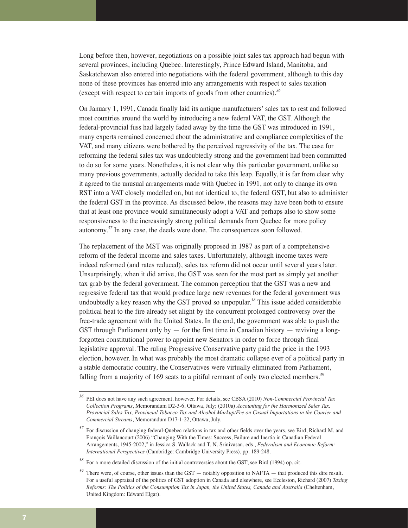Long before then, however, negotiations on a possible joint sales tax approach had begun with several provinces, including Quebec. Interestingly, Prince Edward Island, Manitoba, and Saskatchewan also entered into negotiations with the federal government, although to this day none of these provinces has entered into any arrangements with respect to sales taxation (except with respect to certain imports of goods from other countries).*<sup>36</sup>*

On January 1, 1991, Canada finally laid its antique manufacturers' sales tax to rest and followed most countries around the world by introducing a new federal VAT, the GST. Although the federal-provincial fuss had largely faded away by the time the GST was introduced in 1991, many experts remained concerned about the administrative and compliance complexities of the VAT, and many citizens were bothered by the perceived regressivity of the tax. The case for reforming the federal sales tax was undoubtedly strong and the government had been committed to do so for some years. Nonetheless, it is not clear why this particular government, unlike so many previous governments, actually decided to take this leap. Equally, it is far from clear why it agreed to the unusual arrangements made with Quebec in 1991, not only to change its own RST into a VAT closely modelled on, but not identical to, the federal GST, but also to administer the federal GST in the province. As discussed below, the reasons may have been both to ensure that at least one province would simultaneously adopt a VAT and perhaps also to show some responsiveness to the increasingly strong political demands from Quebec for more policy autonomy.*<sup>37</sup>* In any case, the deeds were done. The consequences soon followed.

The replacement of the MST was originally proposed in 1987 as part of a comprehensive reform of the federal income and sales taxes. Unfortunately, although income taxes were indeed reformed (and rates reduced), sales tax reform did not occur until several years later. Unsurprisingly, when it did arrive, the GST was seen for the most part as simply yet another tax grab by the federal government. The common perception that the GST was a new and regressive federal tax that would produce large new revenues for the federal government was undoubtedly a key reason why the GST proved so unpopular.*<sup>38</sup>* This issue added considerable political heat to the fire already set alight by the concurrent prolonged controversy over the free-trade agreement with the United States. In the end, the government was able to push the GST through Parliament only by  $-$  for the first time in Canadian history  $-$  reviving a longforgotten constitutional power to appoint new Senators in order to force through final legislative approval. The ruling Progressive Conservative party paid the price in the 1993 election, however. In what was probably the most dramatic collapse ever of a political party in a stable democratic country, the Conservatives were virtually eliminated from Parliament, falling from a majority of 169 seats to a pitiful remnant of only two elected members.*<sup>39</sup>*

*<sup>36</sup>* PEI does not have any such agreement, however. For details, see CBSA (2010) *Non-Commercial Provincial Tax Collection Programs*, Memorandum D2-3-6, Ottawa, July; (2010a) *Accounting for the Harmonized Sales Tax, Provincial Sales Tax, Provincial Tobacco Tax and Alcohol Markup/Fee on Casual Importations in the Courier and Commercial Streams*, Memorandum D17-1-22, Ottawa, July.

<sup>&</sup>lt;sup>37</sup> For discussion of changing federal-Quebec relations in tax and other fields over the years, see Bird, Richard M. and François Vaillancourt (2006) "Changing With the Times: Success, Failure and Inertia in Canadian Federal Arrangements, 1945-2002," in Jessica S. Wallack and T. N. Srinivasan, eds., *Federalism and Economic Reform: International Perspectives* (Cambridge: Cambridge University Press), pp. 189-248.

*<sup>38</sup>* For a more detailed discussion of the initial controversies about the GST, see Bird (1994) op. cit.

<sup>&</sup>lt;sup>39</sup> There were, of course, other issues than the GST — notably opposition to NAFTA — that produced this dire result. For a useful appraisal of the politics of GST adoption in Canada and elsewhere, see Eccleston, Richard (2007) *Taxing Reforms: The Politics of the Consumption Tax in Japan, the United States, Canada and Australia* (Cheltenham, United Kingdom: Edward Elgar).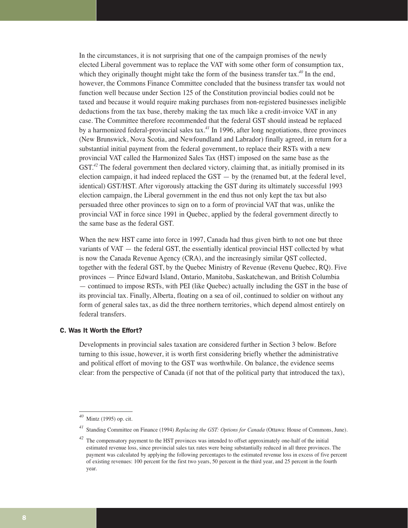In the circumstances, it is not surprising that one of the campaign promises of the newly elected Liberal government was to replace the VAT with some other form of consumption tax, which they originally thought might take the form of the business transfer tax.*<sup>40</sup>* In the end, however, the Commons Finance Committee concluded that the business transfer tax would not function well because under Section 125 of the Constitution provincial bodies could not be taxed and because it would require making purchases from non-registered businesses ineligible deductions from the tax base, thereby making the tax much like a credit-invoice VAT in any case. The Committee therefore recommended that the federal GST should instead be replaced by a harmonized federal-provincial sales tax.*<sup>41</sup>* In 1996, after long negotiations, three provinces (New Brunswick, Nova Scotia, and Newfoundland and Labrador) finally agreed, in return for a substantial initial payment from the federal government, to replace their RSTs with a new provincial VAT called the Harmonized Sales Tax (HST) imposed on the same base as the GST.<sup>42</sup> The federal government then declared victory, claiming that, as initially promised in its election campaign, it had indeed replaced the  $GST - by$  the (renamed but, at the federal level, identical) GST/HST. After vigorously attacking the GST during its ultimately successful 1993 election campaign, the Liberal government in the end thus not only kept the tax but also persuaded three other provinces to sign on to a form of provincial VAT that was, unlike the provincial VAT in force since 1991 in Quebec, applied by the federal government directly to the same base as the federal GST.

When the new HST came into force in 1997, Canada had thus given birth to not one but three variants of VAT — the federal GST, the essentially identical provincial HST collected by what is now the Canada Revenue Agency (CRA), and the increasingly similar QST collected, together with the federal GST, by the Quebec Ministry of Revenue (Revenu Quebec, RQ). Five provinces — Prince Edward Island, Ontario, Manitoba, Saskatchewan, and British Columbia — continued to impose RSTs, with PEI (like Quebec) actually including the GST in the base of its provincial tax. Finally, Alberta, floating on a sea of oil, continued to soldier on without any form of general sales tax, as did the three northern territories, which depend almost entirely on federal transfers.

# C. Was It Worth the Effort?

Developments in provincial sales taxation are considered further in Section 3 below. Before turning to this issue, however, it is worth first considering briefly whether the administrative and political effort of moving to the GST was worthwhile. On balance, the evidence seems clear: from the perspective of Canada (if not that of the political party that introduced the tax),

*<sup>40</sup>* Mintz (1995) op. cit.

*<sup>41</sup>* Standing Committee on Finance (1994) *Replacing the GST: Options for Canada* (Ottawa: House of Commons, June).

*<sup>42</sup>* The compensatory payment to the HST provinces was intended to offset approximately one-half of the initial estimated revenue loss, since provincial sales tax rates were being substantially reduced in all three provinces. The payment was calculated by applying the following percentages to the estimated revenue loss in excess of five percent of existing revenues: 100 percent for the first two years, 50 percent in the third year, and 25 percent in the fourth year.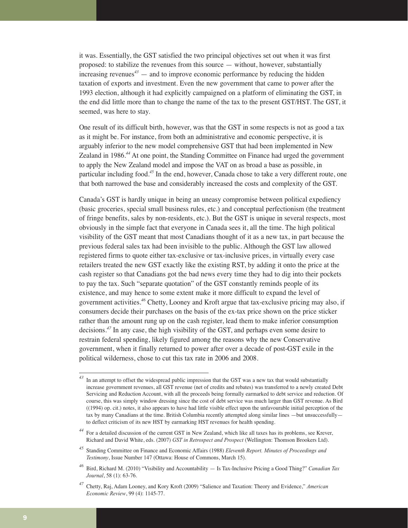it was. Essentially, the GST satisfied the two principal objectives set out when it was first proposed: to stabilize the revenues from this source — without, however, substantially increasing revenues<sup> $43$ </sup> — and to improve economic performance by reducing the hidden taxation of exports and investment. Even the new government that came to power after the 1993 election, although it had explicitly campaigned on a platform of eliminating the GST, in the end did little more than to change the name of the tax to the present GST/HST. The GST, it seemed, was here to stay.

One result of its difficult birth, however, was that the GST in some respects is not as good a tax as it might be. For instance, from both an administrative and economic perspective, it is arguably inferior to the new model comprehensive GST that had been implemented in New Zealand in 1986.*<sup>44</sup>* At one point, the Standing Committee on Finance had urged the government to apply the New Zealand model and impose the VAT on as broad a base as possible, in particular including food.*<sup>45</sup>* In the end, however, Canada chose to take a very different route, one that both narrowed the base and considerably increased the costs and complexity of the GST.

Canada's GST is hardly unique in being an uneasy compromise between political expediency (basic groceries, special small business rules, etc.) and conceptual perfectionism (the treatment of fringe benefits, sales by non-residents, etc.). But the GST is unique in several respects, most obviously in the simple fact that everyone in Canada sees it, all the time. The high political visibility of the GST meant that most Canadians thought of it as a new tax, in part because the previous federal sales tax had been invisible to the public. Although the GST law allowed registered firms to quote either tax-exclusive or tax-inclusive prices, in virtually every case retailers treated the new GST exactly like the existing RST, by adding it onto the price at the cash register so that Canadians got the bad news every time they had to dig into their pockets to pay the tax. Such "separate quotation" of the GST constantly reminds people of its existence, and may hence to some extent make it more difficult to expand the level of government activities.*<sup>46</sup>* Chetty, Looney and Kroft argue that tax-exclusive pricing may also, if consumers decide their purchases on the basis of the ex-tax price shown on the price sticker rather than the amount rung up on the cash register, lead them to make inferior consumption decisions.*<sup>47</sup>* In any case, the high visibility of the GST, and perhaps even some desire to restrain federal spending, likely figured among the reasons why the new Conservative government, when it finally returned to power after over a decade of post-GST exile in the political wilderness, chose to cut this tax rate in 2006 and 2008.

In an attempt to offset the widespread public impression that the GST was a new tax that would substantially increase government revenues, all GST revenue (net of credits and rebates) was transferred to a newly created Debt Servicing and Reduction Account, with all the proceeds being formally earmarked to debt service and reduction. Of course, this was simply window dressing since the cost of debt service was much larger than GST revenue. As Bird ((1994) op. cit.) notes, it also appears to have had little visible effect upon the unfavourable initial perception of the tax by many Canadians at the time. British Columbia recently attempted along similar lines —but unsuccessfully to deflect criticism of its new HST by earmarking HST revenues for health spending.

*<sup>44</sup>* For a detailed discussion of the current GST in New Zealand, which like all taxes has its problems, see Krever, Richard and David White, eds. (2007) *GST in Retrospect and Prospect* (Wellington: Thomson Brookers Ltd).

*<sup>45</sup>* Standing Committee on Finance and Economic Affairs (1988) *Eleventh Report. Minutes of Proceedings and Testimony*, Issue Number 147 (Ottawa: House of Commons, March 15).

*<sup>46</sup>* Bird, Richard M. (2010) "Visibility and Accountability — Is Tax-Inclusive Pricing a Good Thing?" *Canadian Tax Journal*, 58 (1): 63-76.

*<sup>47</sup>* Chetty, Raj, Adam Looney, and Kory Kroft (2009) "Salience and Taxation: Theory and Evidence," *American Economic Review*, 99 (4): 1145-77.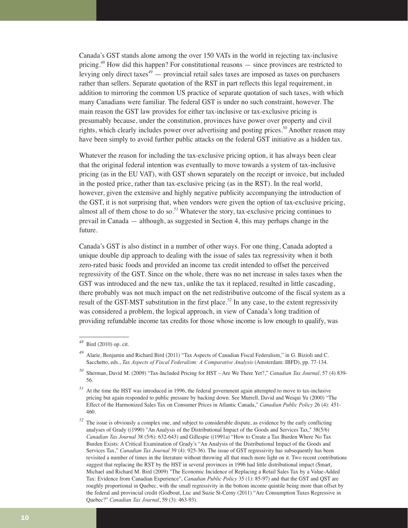Canada's GST stands alone among the over 150 VATs in the world in rejecting tax-inclusive pricing.*<sup>48</sup>* How did this happen? For constitutional reasons — since provinces are restricted to levying only direct taxes*<sup>49</sup>* — provincial retail sales taxes are imposed as taxes on purchasers rather than sellers. Separate quotation of the RST in part reflects this legal requirement, in addition to mirroring the common US practice of separate quotation of such taxes, with which many Canadians were familiar. The federal GST is under no such constraint, however. The main reason the GST law provides for either tax-inclusive or tax-exclusive pricing is presumably because, under the constitution, provinces have power over property and civil rights, which clearly includes power over advertising and posting prices.*<sup>50</sup>* Another reason may have been simply to avoid further public attacks on the federal GST initiative as a hidden tax.

Whatever the reason for including the tax-exclusive pricing option, it has always been clear that the original federal intention was eventually to move towards a system of tax-inclusive pricing (as in the EU VAT), with GST shown separately on the receipt or invoice, but included in the posted price, rather than tax-exclusive pricing (as in the RST). In the real world, however, given the extensive and highly negative publicity accompanying the introduction of the GST, it is not surprising that, when vendors were given the option of tax-exclusive pricing, almost all of them chose to do so.*<sup>51</sup>* Whatever the story, tax-exclusive pricing continues to prevail in Canada — although, as suggested in Section 4, this may perhaps change in the future.

Canada's GST is also distinct in a number of other ways. For one thing, Canada adopted a unique double dip approach to dealing with the issue of sales tax regressivity when it both zero-rated basic foods and provided an income tax credit intended to offset the perceived regressivity of the GST. Since on the whole, there was no net increase in sales taxes when the GST was introduced and the new tax, unlike the tax it replaced, resulted in little cascading, there probably was not much impact on the net redistributive outcome of the fiscal system as a result of the GST-MST substitution in the first place.*<sup>52</sup>* In any case, to the extent regressivity was considered a problem, the logical approach, in view of Canada's long tradition of providing refundable income tax credits for those whose income is low enough to qualify, was

*<sup>48</sup>* Bird (2010) op. cit.

*<sup>49</sup>* Alarie, Benjamin and Richard Bird (2011) "Tax Aspects of Canadian Fiscal Federalism," in G. Bizioli and C. Sacchetto, eds., *Tax Aspects of Fiscal Federalism: A Comparative Analysis* (Amsterdam: IBFD), pp. 77-134.

*<sup>50</sup>* Sherman, David M. (2009) "Tax-Included Pricing for HST – Are We There Yet?," *Canadian Tax Journal*, 57 (4) 839- 56.

*<sup>51</sup>* At the time the HST was introduced in 1996, the federal government again attempted to move to tax-inclusive pricing but again responded to public pressure by backing down. See Murrell, David and Weiqui Yu (2000) "The Effect of the Harmonized Sales Tax on Consumer Prices in Atlantic Canada," *Canadian Public Policy* 26 (4): 451- 460.

The issue is obviously a complex one, and subject to considerable dispute, as evidence by the early conflicting analyses of Grady ((1990) "An Analysis of the Distributional Impact of the Goods and Services Tax," 38(5/6) *Canadian Tax Journal* 38 (5/6): 632-643) and Gillespie ((1991a) "How to Create a Tax Burden Where No Tax Burden Exists: A Critical Examination of Grady's "An Analysis of the Distributional Impact of the Goods and Services Tax," *Canadian Tax Journal* 39 (4): 925-36). The issue of GST regressivity has subsequently has been revisited a number of times in the literature without throwing all that much more light on it. Two recent contributions suggest that replacing the RST by the HST in several provinces in 1996 had little distributional impact (Smart, Michael and Richard M. Bird (2009) "The Economic Incidence of Replacing a Retail Sales Tax by a Value-Added Tax: Evidence from Canadian Experience", *Canadian Public Policy* 35 (1): 85-97) and that the GST and QST are roughly proportional in Quebec, with the small regressivity in the bottom income quintile being more than offset by the federal and provincial credit (Godbout, Luc and Suzie St-Cerny (2011) "Are Consumption Taxes Regressive in Quebec?" *Canadian Tax Journal*, 59 (3): 463-93).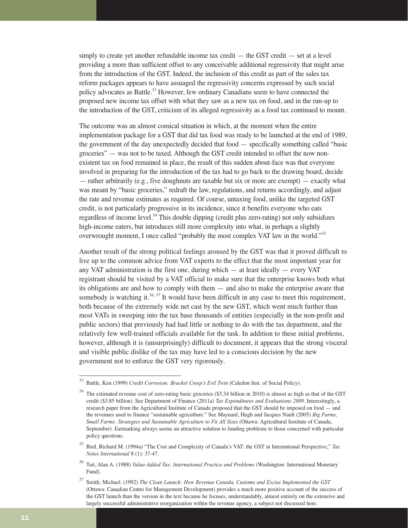simply to create yet another refundable income tax credit — the GST credit — set at a level providing a more than sufficient offset to any conceivable additional regressivity that might arise from the introduction of the GST. Indeed, the inclusion of this credit as part of the sales tax reform packages appears to have assuaged the regressivity concerns expressed by such social policy advocates as Battle.*<sup>53</sup>* However, few ordinary Canadians seem to have connected the proposed new income tax offset with what they saw as a new tax on food, and in the run-up to the introduction of the GST, criticism of its alleged regressivity as a food tax continued to mount.

The outcome was an almost comical situation in which, at the moment when the entire implementation package for a GST that did tax food was ready to be launched at the end of 1989, the government of the day unexpectedly decided that food — specifically something called "basic groceries" — was not to be taxed. Although the GST credit intended to offset the now nonexistent tax on food remained in place, the result of this sudden about-face was that everyone involved in preparing for the introduction of the tax had to go back to the drawing board, decide — rather arbitrarily (e.g., five doughnuts are taxable but six or more are exempt) — exactly what was meant by "basic groceries," redraft the law, regulations, and returns accordingly, and adjust the rate and revenue estimates as required. Of course, untaxing food, unlike the targeted GST credit, is not particularly progressive in its incidence, since it benefits everyone who eats regardless of income level.*<sup>54</sup>* This double dipping (credit plus zero-rating) not only subsidizes high-income eaters, but introduces still more complexity into what, in perhaps a slightly overwrought moment, I once called "probably the most complex VAT law in the world."*<sup>55</sup>*

Another result of the strong political feelings aroused by the GST was that it proved difficult to live up to the common advice from VAT experts to the effect that the most important year for any VAT administration is the first one, during which — at least ideally — every VAT registrant should be visited by a VAT official to make sure that the enterprise knows both what its obligations are and how to comply with them — and also to make the enterprise aware that somebody is watching it.<sup>56, 57</sup> It would have been difficult in any case to meet this requirement, both because of the extremely wide net cast by the new GST, which went much further than most VATs in sweeping into the tax base thousands of entities (especially in the non-profit and public sectors) that previously had had little or nothing to do with the tax department, and the relatively few well-trained officials available for the task. In addition to these initial problems, however, although it is (unsurprisingly) difficult to document, it appears that the strong visceral and visible public dislike of the tax may have led to a conscious decision by the new government not to enforce the GST very rigorously.

*<sup>53</sup>* Battle, Ken (1999) *Credit Corrosion: Bracket Creep's Evil Twin* (Caledon Inst. of Social Policy).

*<sup>54</sup>* The estimated revenue cost of zero-rating basic groceries (\$3.34 billion in 2010) is almost as high as that of the GST credit (\$3.85 billion). See Department of Finance (2011a) *Tax Expenditures and Evaluations 2009*. Interestingly, a research paper from the Agricultural Institute of Canada proposed that the GST should be imposed on food — and the revenues used to finance "sustainable agriculture." See Maynard, Hugh and Jacques Nault (2005) *Big Farms, Small Farms: Strategies and Sustainable Agriculture to Fit All Sizes* (Ottawa: Agricultural Institute of Canada, September). Earmarking always seems an attractive solution to funding problems to those concerned with particular policy questions.

*<sup>55</sup>* Bird, Richard M. (1994a) "The Cost and Complexity of Canada's VAT: the GST in International Perspective," *Tax Notes International* 8 (1): 37-47.

*<sup>56</sup>* Tait, Alan A. (1988) *Value-Added Tax: International Practice and Problems* (Washington: International Monetary Fund).

*<sup>57</sup>* Smith, Michael. (1992) *The Clean Launch: How Revenue Canada, Customs and Excise Implemented the GST* (Ottawa: Canadian Centre for Management Development) provides a much more positive account of the success of the GST launch than the version in the text because he focuses, understandably, almost entirely on the extensive and largely successful administrative reorganization within the revenue agency, a subject not discussed here.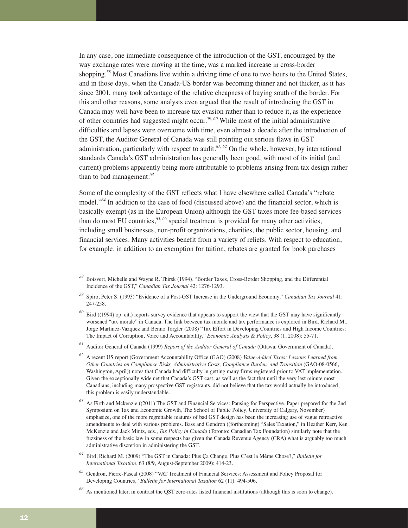In any case, one immediate consequence of the introduction of the GST, encouraged by the way exchange rates were moving at the time, was a marked increase in cross-border shopping.<sup>58</sup> Most Canadians live within a driving time of one to two hours to the United States, and in those days, when the Canada-US border was becoming thinner and not thicker, as it has since 2001, many took advantage of the relative cheapness of buying south of the border. For this and other reasons, some analysts even argued that the result of introducing the GST in Canada may well have been to increase tax evasion rather than to reduce it, as the experience of other countries had suggested might occur.*59, 60* While most of the initial administrative difficulties and lapses were overcome with time, even almost a decade after the introduction of the GST, the Auditor General of Canada was still pointing out serious flaws in GST administration, particularly with respect to audit.*61, 62* On the whole, however, by international standards Canada's GST administration has generally been good, with most of its initial (and current) problems apparently being more attributable to problems arising from tax design rather than to bad management.*<sup>63</sup>*

Some of the complexity of the GST reflects what I have elsewhere called Canada's "rebate model."*<sup>64</sup>* In addition to the case of food (discussed above) and the financial sector, which is basically exempt (as in the European Union) although the GST taxes more fee-based services than do most EU countries,*65, 66* special treatment is provided for many other activities, including small businesses, non-profit organizations, charities, the public sector, housing, and financial services. Many activities benefit from a variety of reliefs. With respect to education, for example, in addition to an exemption for tuition, rebates are granted for book purchases

*<sup>58</sup>* Boisvert, Michelle and Wayne R. Thirsk (1994), "Border Taxes, Cross-Border Shopping, and the Differential Incidence of the GST," *Canadian Tax Journal* 42: 1276-1293.

*<sup>59</sup>* Spiro, Peter S. (1993) "Evidence of a Post-GST Increase in the Underground Economy," *Canadian Tax Journal* 41: 247-258.

*<sup>6</sup>* Bird ((1994) op. cit.) reports survey evidence that appears to support the view that the GST may have significantly worsened "tax morale" in Canada. The link between tax morale and tax performance is explored in Bird, Richard M., Jorge Martinez-Vazquez and Benno Torgler (2008) "Tax Effort in Developing Countries and High Income Countries: The Impact of Corruption, Voice and Accountability," *Economic Analysis & Policy*, 38 (1, 2008): 55-71.

*<sup>61</sup>* Auditor General of Canada (1999) *Report of the Auditor General of Canada* (Ottawa: Government of Canada).

*<sup>62</sup>* A recent US report (Government Accountability Office (GAO) (2008) *Value-Added Taxes: Lessons Learned from Other Countries on Compliance Risks, Administrative Costs, Compliance Burden, and Transition* (GAO-08-0566, Washington, April)) notes that Canada had difficulty in getting many firms registered prior to VAT implementation. Given the exceptionally wide net that Canada's GST cast, as well as the fact that until the very last minute most Canadians, including many prospective GST registrants, did not believe that the tax would actually be introduced, this problem is easily understandable.

*<sup>63</sup>* As Firth and Mckenzie ((2011) The GST and Financial Services: Pausing for Perspective, Paper prepared for the 2nd Symposium on Tax and Economic Growth, The School of Public Policy, University of Calgary, November) emphasize, one of the more regrettable features of bad GST design has been the increasing use of vague retroactive amendments to deal with various problems. Bass and Gendron ((forthcoming) "Sales Taxation," in Heather Kerr, Ken McKenzie and Jack Mintz, eds., *Tax Policy in Canada* (Toronto: Canadian Tax Foundation) similarly note that the fuzziness of the basic law in some respects has given the Canada Revenue Agency (CRA) what is arguably too much administrative discretion in administering the GST.

*<sup>64</sup>* Bird, Richard M. (2009) "The GST in Canada: Plus Ça Change, Plus C'est la Même Chose?," *Bulletin for International Taxation*, 63 (8/9, August-September 2009): 414-23.

*<sup>65</sup>* Gendron, Pierre-Pascal (2008) "VAT Treatment of Financial Services: Assessment and Policy Proposal for Developing Countries," *Bulletin for International Taxation* 62 (11): 494-506.

*<sup>66</sup>* As mentioned later, in contrast the QST zero-rates listed financial institutions (although this is soon to change).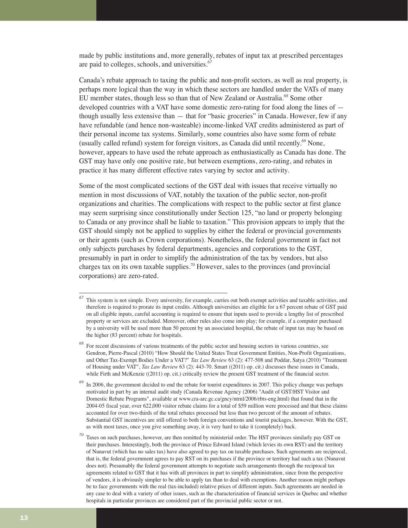made by public institutions and, more generally, rebates of input tax at prescribed percentages are paid to colleges, schools, and universities.*<sup>67</sup>*

Canada's rebate approach to taxing the public and non-profit sectors, as well as real property, is perhaps more logical than the way in which these sectors are handled under the VATs of many EU member states, though less so than that of New Zealand or Australia.*<sup>68</sup>* Some other developed countries with a VAT have some domestic zero-rating for food along the lines of though usually less extensive than — that for "basic groceries" in Canada. However, few if any have refundable (and hence non-wasteable) income-linked VAT credits administered as part of their personal income tax systems. Similarly, some countries also have some form of rebate (usually called refund) system for foreign visitors, as Canada did until recently.*<sup>69</sup>* None, however, appears to have used the rebate approach as enthusiastically as Canada has done. The GST may have only one positive rate, but between exemptions, zero-rating, and rebates in practice it has many different effective rates varying by sector and activity.

Some of the most complicated sections of the GST deal with issues that receive virtually no mention in most discussions of VAT, notably the taxation of the public sector, non-profit organizations and charities. The complications with respect to the public sector at first glance may seem surprising since constitutionally under Section 125, "no land or property belonging to Canada or any province shall be liable to taxation." This provision appears to imply that the GST should simply not be applied to supplies by either the federal or provincial governments or their agents (such as Crown corporations). Nonetheless, the federal government in fact not only subjects purchases by federal departments, agencies and corporations to the GST, presumably in part in order to simplify the administration of the tax by vendors, but also charges tax on its own taxable supplies.<sup>70</sup> However, sales to the provinces (and provincial corporations) are zero-rated.

*<sup>67</sup>* This system is not simple. Every university, for example, carries out both exempt activities and taxable activities, and therefore is required to prorate its input credits. Although universities are eligible for a 67 percent rebate of GST paid on all eligible inputs, careful accounting is required to ensure that inputs used to provide a lengthy list of prescribed property or services are excluded. Moreover, other rules also come into play; for example, if a computer purchased by a university will be used more than 50 percent by an associated hospital, the rebate of input tax may be based on the higher (83 percent) rebate for hospitals.

*<sup>68</sup>* For recent discussions of various treatments of the public sector and housing sectors in various countries, see Gendron, Pierre-Pascal (2010) "How Should the United States Treat Government Entities, Non-Profit Organizations, and Other Tax-Exempt Bodies Under a VAT?" *Tax Law Review* 63 (2): 477-508 and Poddar, Satya (2010) "Treatment of Housing under VAT", *Tax Law Review* 63 (2): 443-70. Smart ((2011) op. cit.) discusses these issues in Canada, while Firth and McKenzie ((2011) op. cit.) critically review the present GST treatment of the financial sector.

*<sup>69</sup>* In 2006, the government decided to end the rebate for tourist expenditures in 2007. This policy change was perhaps motivated in part by an internal audit study (Canada Revenue Agency (2006) "Audit of GST/HST Visitor and Domestic Rebate Programs", available at www.cra-arc.gc.ca/gncy/ntrnl/2006/rbts-eng.html) that found that in the 2004-05 fiscal year, over 622,000 visitor rebate claims for a total of \$59 million were processed and that these claims accounted for over two-thirds of the total rebates processed but less than two percent of the amount of rebates. Substantial GST incentives are still offered to both foreign conventions and tourist packages, however. With the GST, as with most taxes, once you give something away, it is very hard to take it (completely) back.

*<sup>70</sup>* Taxes on such purchases, however, are then remitted by ministerial order. The HST provinces similarly pay GST on their purchases. Interestingly, both the province of Prince Edward Island (which levies its own RST) and the territory of Nunavut (which has no sales tax) have also agreed to pay tax on taxable purchases. Such agreements are reciprocal, that is, the federal government agrees to pay RST on its purchases if the province or territory had such a tax (Nunavut does not). Presumably the federal government attempts to negotiate such arrangements through the reciprocal tax agreements related to GST that it has with all provinces in part to simplify administration, since from the perspective of vendors, it is obviously simpler to be able to apply tax than to deal with exemptions. Another reason might perhaps be to face governments with the real (tax-included) relative prices of different inputs. Such agreements are needed in any case to deal with a variety of other issues, such as the characterization of financial services in Quebec and whether hospitals in particular provinces are considered part of the provincial public sector or not.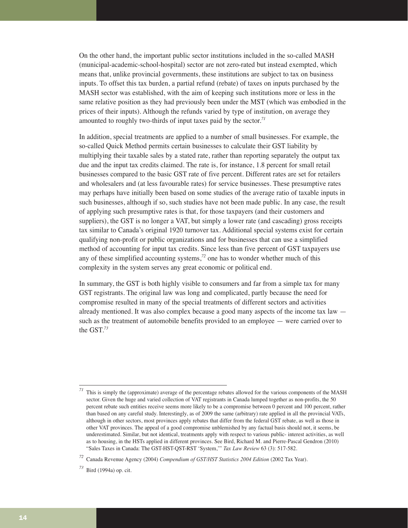On the other hand, the important public sector institutions included in the so-called MASH (municipal-academic-school-hospital) sector are not zero-rated but instead exempted, which means that, unlike provincial governments, these institutions are subject to tax on business inputs. To offset this tax burden, a partial refund (rebate) of taxes on inputs purchased by the MASH sector was established, with the aim of keeping such institutions more or less in the same relative position as they had previously been under the MST (which was embodied in the prices of their inputs). Although the refunds varied by type of institution, on average they amounted to roughly two-thirds of input taxes paid by the sector.*<sup>71</sup>*

In addition, special treatments are applied to a number of small businesses. For example, the so-called Quick Method permits certain businesses to calculate their GST liability by multiplying their taxable sales by a stated rate, rather than reporting separately the output tax due and the input tax credits claimed. The rate is, for instance, 1.8 percent for small retail businesses compared to the basic GST rate of five percent. Different rates are set for retailers and wholesalers and (at less favourable rates) for service businesses. These presumptive rates may perhaps have initially been based on some studies of the average ratio of taxable inputs in such businesses, although if so, such studies have not been made public. In any case, the result of applying such presumptive rates is that, for those taxpayers (and their customers and suppliers), the GST is no longer a VAT, but simply a lower rate (and cascading) gross receipts tax similar to Canada's original 1920 turnover tax. Additional special systems exist for certain qualifying non-profit or public organizations and for businesses that can use a simplified method of accounting for input tax credits. Since less than five percent of GST taxpayers use any of these simplified accounting systems,*<sup>72</sup>* one has to wonder whether much of this complexity in the system serves any great economic or political end.

In summary, the GST is both highly visible to consumers and far from a simple tax for many GST registrants. The original law was long and complicated, partly because the need for compromise resulted in many of the special treatments of different sectors and activities already mentioned. It was also complex because a good many aspects of the income tax law such as the treatment of automobile benefits provided to an employee — were carried over to the GST.*<sup>73</sup>*

*<sup>71</sup>* This is simply the (approximate) average of the percentage rebates allowed for the various components of the MASH sector. Given the huge and varied collection of VAT registrants in Canada lumped together as non-profits, the 50 percent rebate such entities receive seems more likely to be a compromise between 0 percent and 100 percent, rather than based on any careful study. Interestingly, as of 2009 the same (arbitrary) rate applied in all the provincial VATs, although in other sectors, most provinces apply rebates that differ from the federal GST rebate, as well as those in other VAT provinces. The appeal of a good compromise unblemished by any factual basis should not, it seems, be underestimated. Similar, but not identical, treatments apply with respect to various public- interest activities, as well as to housing, in the HSTs applied in different provinces. See Bird, Richard M. and Pierre-Pascal Gendron (2010) "Sales Taxes in Canada: The GST-HST-QST-RST 'System,'" *Tax Law Review* 63 (3): 517-582.

*<sup>72</sup>* Canada Revenue Agency (2004) *Compendium of GST/HST Statistics 2004 Edition* (2002 Tax Year).

*<sup>73</sup>* Bird (1994a) op. cit.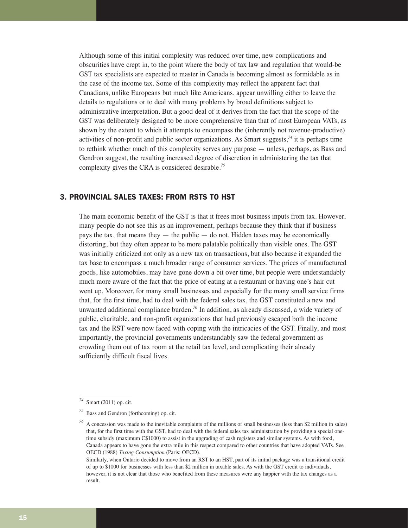Although some of this initial complexity was reduced over time, new complications and obscurities have crept in, to the point where the body of tax law and regulation that would-be GST tax specialists are expected to master in Canada is becoming almost as formidable as in the case of the income tax. Some of this complexity may reflect the apparent fact that Canadians, unlike Europeans but much like Americans, appear unwilling either to leave the details to regulations or to deal with many problems by broad definitions subject to administrative interpretation. But a good deal of it derives from the fact that the scope of the GST was deliberately designed to be more comprehensive than that of most European VATs, as shown by the extent to which it attempts to encompass the (inherently not revenue-productive) activities of non-profit and public sector organizations. As Smart suggests, $74$  it is perhaps time to rethink whether much of this complexity serves any purpose — unless, perhaps, as Bass and Gendron suggest, the resulting increased degree of discretion in administering the tax that complexity gives the CRA is considered desirable.*<sup>75</sup>*

# 3. PROVINCIAL SALES TAXES: FROM RSTS TO HST

The main economic benefit of the GST is that it frees most business inputs from tax. However, many people do not see this as an improvement, perhaps because they think that if business pays the tax, that means they  $-$  the public  $-$  do not. Hidden taxes may be economically distorting, but they often appear to be more palatable politically than visible ones. The GST was initially criticized not only as a new tax on transactions, but also because it expanded the tax base to encompass a much broader range of consumer services. The prices of manufactured goods, like automobiles, may have gone down a bit over time, but people were understandably much more aware of the fact that the price of eating at a restaurant or having one's hair cut went up. Moreover, for many small businesses and especially for the many small service firms that, for the first time, had to deal with the federal sales tax, the GST constituted a new and unwanted additional compliance burden.*<sup>76</sup>* In addition, as already discussed, a wide variety of public, charitable, and non-profit organizations that had previously escaped both the income tax and the RST were now faced with coping with the intricacies of the GST. Finally, and most importantly, the provincial governments understandably saw the federal government as crowding them out of tax room at the retail tax level, and complicating their already sufficiently difficult fiscal lives.

*<sup>74</sup>* Smart (2011) op. cit.

*<sup>75</sup>* Bass and Gendron (forthcoming) op. cit.

*A* concession was made to the inevitable complaints of the millions of small businesses (less than \$2 million in sales) that, for the first time with the GST, had to deal with the federal sales tax administration by providing a special onetime subsidy (maximum C\$1000) to assist in the upgrading of cash registers and similar systems. As with food, Canada appears to have gone the extra mile in this respect compared to other countries that have adopted VATs. See OECD (1988) *Taxing Consumption* (Paris: OECD).

Similarly, when Ontario decided to move from an RST to an HST, part of its initial package was a transitional credit of up to \$1000 for businesses with less than \$2 million in taxable sales. As with the GST credit to individuals, however, it is not clear that those who benefited from these measures were any happier with the tax changes as a result.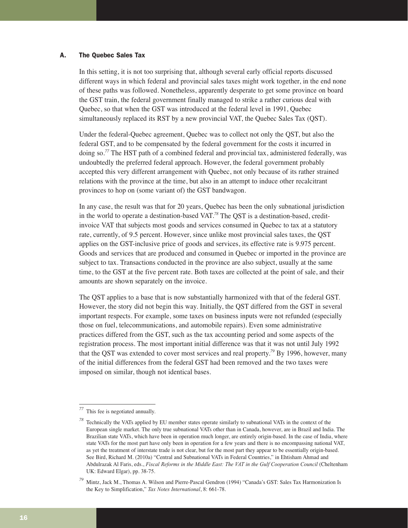# A. The Quebec Sales Tax

In this setting, it is not too surprising that, although several early official reports discussed different ways in which federal and provincial sales taxes might work together, in the end none of these paths was followed. Nonetheless, apparently desperate to get some province on board the GST train, the federal government finally managed to strike a rather curious deal with Quebec, so that when the GST was introduced at the federal level in 1991, Quebec simultaneously replaced its RST by a new provincial VAT, the Quebec Sales Tax (QST).

Under the federal-Quebec agreement, Quebec was to collect not only the QST, but also the federal GST, and to be compensated by the federal government for the costs it incurred in doing so.*<sup>77</sup>* The HST path of a combined federal and provincial tax, administered federally, was undoubtedly the preferred federal approach. However, the federal government probably accepted this very different arrangement with Quebec, not only because of its rather strained relations with the province at the time, but also in an attempt to induce other recalcitrant provinces to hop on (some variant of) the GST bandwagon.

In any case, the result was that for 20 years, Quebec has been the only subnational jurisdiction in the world to operate a destination-based VAT.*<sup>78</sup>* The QST is a destination-based, creditinvoice VAT that subjects most goods and services consumed in Quebec to tax at a statutory rate, currently, of 9.5 percent. However, since unlike most provincial sales taxes, the QST applies on the GST-inclusive price of goods and services, its effective rate is 9.975 percent. Goods and services that are produced and consumed in Quebec or imported in the province are subject to tax. Transactions conducted in the province are also subject, usually at the same time, to the GST at the five percent rate. Both taxes are collected at the point of sale, and their amounts are shown separately on the invoice.

The QST applies to a base that is now substantially harmonized with that of the federal GST. However, the story did not begin this way. Initially, the QST differed from the GST in several important respects. For example, some taxes on business inputs were not refunded (especially those on fuel, telecommunications, and automobile repairs). Even some administrative practices differed from the GST, such as the tax accounting period and some aspects of the registration process. The most important initial difference was that it was not until July 1992 that the QST was extended to cover most services and real property.*<sup>79</sup>* By 1996, however, many of the initial differences from the federal GST had been removed and the two taxes were imposed on similar, though not identical bases.

*<sup>77</sup>* This fee is negotiated annually.

*<sup>78</sup>* Technically the VATs applied by EU member states operate similarly to subnational VATs in the context of the European single market. The only true subnational VATs other than in Canada, however, are in Brazil and India. The Brazilian state VATs, which have been in operation much longer, are entirely origin-based. In the case of India, where state VATs for the most part have only been in operation for a few years and there is no encompassing national VAT, as yet the treatment of interstate trade is not clear, but for the most part they appear to be essentially origin-based. See Bird, Richard M. (2010a) "Central and Subnational VATs in Federal Countries," in Ehtisham Ahmad and Abdulrazak Al Faris, eds., *Fiscal Reforms in the Middle East: The VAT in the Gulf Cooperation Council* (Cheltenham UK: Edward Elgar), pp. 38-75.

*<sup>79</sup>* Mintz, Jack M., Thomas A. Wilson and Pierre-Pascal Gendron (1994) "Canada's GST: Sales Tax Harmonization Is the Key to Simplification," *Tax Notes International*, 8: 661-78.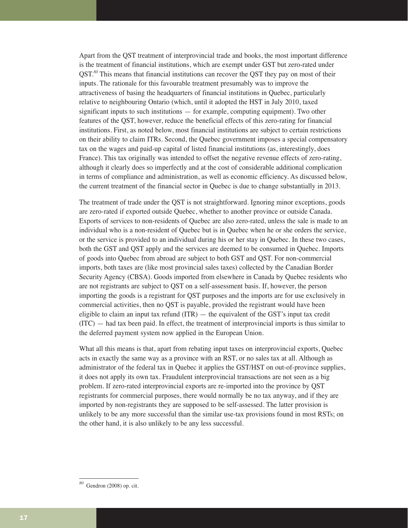Apart from the QST treatment of interprovincial trade and books, the most important difference is the treatment of financial institutions, which are exempt under GST but zero-rated under OST.<sup>80</sup> This means that financial institutions can recover the QST they pay on most of their inputs. The rationale for this favourable treatment presumably was to improve the attractiveness of basing the headquarters of financial institutions in Quebec, particularly relative to neighbouring Ontario (which, until it adopted the HST in July 2010, taxed significant inputs to such institutions — for example, computing equipment). Two other features of the QST, however, reduce the beneficial effects of this zero-rating for financial institutions. First, as noted below, most financial institutions are subject to certain restrictions on their ability to claim ITRs. Second, the Quebec government imposes a special compensatory tax on the wages and paid-up capital of listed financial institutions (as, interestingly, does France). This tax originally was intended to offset the negative revenue effects of zero-rating, although it clearly does so imperfectly and at the cost of considerable additional complication in terms of compliance and administration, as well as economic efficiency. As discussed below, the current treatment of the financial sector in Quebec is due to change substantially in 2013.

The treatment of trade under the QST is not straightforward. Ignoring minor exceptions, goods are zero-rated if exported outside Quebec, whether to another province or outside Canada. Exports of services to non-residents of Quebec are also zero-rated, unless the sale is made to an individual who is a non-resident of Quebec but is in Quebec when he or she orders the service, or the service is provided to an individual during his or her stay in Quebec. In these two cases, both the GST and QST apply and the services are deemed to be consumed in Quebec. Imports of goods into Quebec from abroad are subject to both GST and QST. For non-commercial imports, both taxes are (like most provincial sales taxes) collected by the Canadian Border Security Agency (CBSA). Goods imported from elsewhere in Canada by Quebec residents who are not registrants are subject to QST on a self-assessment basis. If, however, the person importing the goods is a registrant for QST purposes and the imports are for use exclusively in commercial activities, then no QST is payable, provided the registrant would have been eligible to claim an input tax refund  $(ITR)$  — the equivalent of the GST's input tax credit  $(TTC)$  — had tax been paid. In effect, the treatment of interprovincial imports is thus similar to the deferred payment system now applied in the European Union.

What all this means is that, apart from rebating input taxes on interprovincial exports, Quebec acts in exactly the same way as a province with an RST, or no sales tax at all. Although as administrator of the federal tax in Quebec it applies the GST/HST on out-of-province supplies, it does not apply its own tax. Fraudulent interprovincial transactions are not seen as a big problem. If zero-rated interprovincial exports are re-imported into the province by QST registrants for commercial purposes, there would normally be no tax anyway, and if they are imported by non-registrants they are supposed to be self-assessed. The latter provision is unlikely to be any more successful than the similar use-tax provisions found in most RSTs; on the other hand, it is also unlikely to be any less successful.

*<sup>80</sup>* Gendron (2008) op. cit.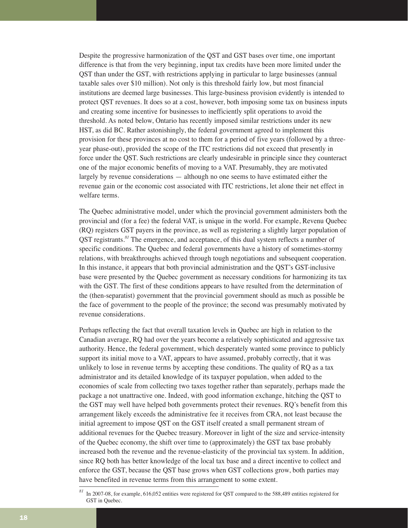Despite the progressive harmonization of the QST and GST bases over time, one important difference is that from the very beginning, input tax credits have been more limited under the QST than under the GST, with restrictions applying in particular to large businesses (annual taxable sales over \$10 million). Not only is this threshold fairly low, but most financial institutions are deemed large businesses. This large-business provision evidently is intended to protect QST revenues. It does so at a cost, however, both imposing some tax on business inputs and creating some incentive for businesses to inefficiently split operations to avoid the threshold. As noted below, Ontario has recently imposed similar restrictions under its new HST, as did BC. Rather astonishingly, the federal government agreed to implement this provision for these provinces at no cost to them for a period of five years (followed by a threeyear phase-out), provided the scope of the ITC restrictions did not exceed that presently in force under the QST. Such restrictions are clearly undesirable in principle since they counteract one of the major economic benefits of moving to a VAT. Presumably, they are motivated largely by revenue considerations — although no one seems to have estimated either the revenue gain or the economic cost associated with ITC restrictions, let alone their net effect in welfare terms.

The Quebec administrative model, under which the provincial government administers both the provincial and (for a fee) the federal VAT, is unique in the world. For example, Revenu Quebec (RQ) registers GST payers in the province, as well as registering a slightly larger population of QST registrants.*<sup>81</sup>* The emergence, and acceptance, of this dual system reflects a number of specific conditions. The Quebec and federal governments have a history of sometimes-stormy relations, with breakthroughs achieved through tough negotiations and subsequent cooperation. In this instance, it appears that both provincial administration and the QST's GST-inclusive base were presented by the Quebec government as necessary conditions for harmonizing its tax with the GST. The first of these conditions appears to have resulted from the determination of the (then-separatist) government that the provincial government should as much as possible be the face of government to the people of the province; the second was presumably motivated by revenue considerations.

Perhaps reflecting the fact that overall taxation levels in Quebec are high in relation to the Canadian average, RQ had over the years become a relatively sophisticated and aggressive tax authority. Hence, the federal government, which desperately wanted some province to publicly support its initial move to a VAT, appears to have assumed, probably correctly, that it was unlikely to lose in revenue terms by accepting these conditions. The quality of RQ as a tax administrator and its detailed knowledge of its taxpayer population, when added to the economies of scale from collecting two taxes together rather than separately, perhaps made the package a not unattractive one. Indeed, with good information exchange, hitching the QST to the GST may well have helped both governments protect their revenues. RQ's benefit from this arrangement likely exceeds the administrative fee it receives from CRA, not least because the initial agreement to impose QST on the GST itself created a small permanent stream of additional revenues for the Quebec treasury. Moreover in light of the size and service-intensity of the Quebec economy, the shift over time to (approximately) the GST tax base probably increased both the revenue and the revenue-elasticity of the provincial tax system. In addition, since RQ both has better knowledge of the local tax base and a direct incentive to collect and enforce the GST, because the QST base grows when GST collections grow, both parties may have benefited in revenue terms from this arrangement to some extent.

*<sup>81</sup>* In 2007-08, for example, 616,052 entities were registered for QST compared to the 588,489 entities registered for GST in Quebec.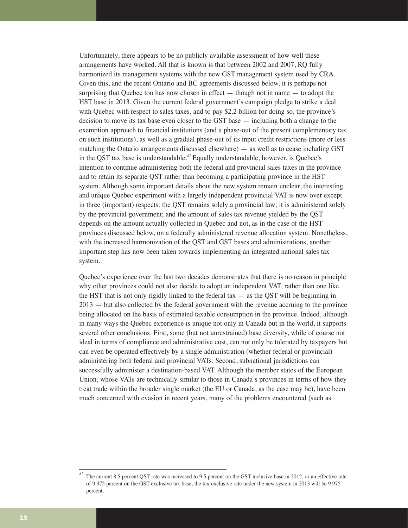Unfortunately, there appears to be no publicly available assessment of how well these arrangements have worked. All that is known is that between 2002 and 2007, RQ fully harmonized its management systems with the new GST management system used by CRA. Given this, and the recent Ontario and BC agreements discussed below, it is perhaps not surprising that Quebec too has now chosen in effect  $-$  though not in name  $-$  to adopt the HST base in 2013. Given the current federal government's campaign pledge to strike a deal with Quebec with respect to sales taxes, and to pay \$2.2 billion for doing so, the province's decision to move its tax base even closer to the GST base — including both a change to the exemption approach to financial institutions (and a phase-out of the present complementary tax on such institutions), as well as a gradual phase-out of its input credit restrictions (more or less matching the Ontario arrangements discussed elsewhere) — as well as to cease including GST in the QST tax base is understandable.*<sup>82</sup>*Equally understandable, however, is Quebec's intention to continue administering both the federal and provincial sales taxes in the province and to retain its separate QST rather than becoming a participating province in the HST system. Although some important details about the new system remain unclear, the interesting and unique Quebec experiment with a largely independent provincial VAT is now over except in three (important) respects: the QST remains solely a provincial law; it is administered solely by the provincial government; and the amount of sales tax revenue yielded by the QST depends on the amount actually collected in Quebec and not, as in the case of the HST provinces discussed below, on a federally administered revenue allocation system. Nonetheless, with the increased harmonization of the QST and GST bases and administrations, another important step has now been taken towards implementing an integrated national sales tax system.

Quebec's experience over the last two decades demonstrates that there is no reason in principle why other provinces could not also decide to adopt an independent VAT, rather than one like the HST that is not only rigidly linked to the federal tax  $-$  as the QST will be beginning in 2013 — but also collected by the federal government with the revenue accruing to the province being allocated on the basis of estimated taxable consumption in the province. Indeed, although in many ways the Quebec experience is unique not only in Canada but in the world, it supports several other conclusions. First, some (but not unrestrained) base diversity, while of course not ideal in terms of compliance and administrative cost, can not only be tolerated by taxpayers but can even be operated effectively by a single administration (whether federal or provincial) administering both federal and provincial VATs. Second, subnational jurisdictions can successfully administer a destination-based VAT. Although the member states of the European Union, whose VATs are technically similar to those in Canada's provinces in terms of how they treat trade within the broader single market (the EU or Canada, as the case may be), have been much concerned with evasion in recent years, many of the problems encountered (such as

*<sup>82</sup>* The current 8.5 percent QST rate was increased to 9.5 percent on the GST-inclusive base in 2012, or an effective rate of 9.975 percent on the GST-exclusive tax base; the tax-exclusive rate under the new system in 2013 will be 9.975 percent.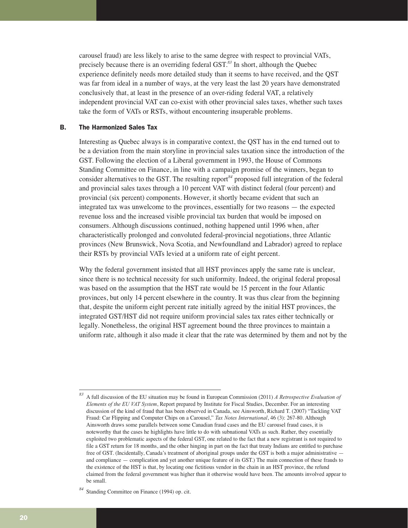carousel fraud) are less likely to arise to the same degree with respect to provincial VATs, precisely because there is an overriding federal GST.*<sup>83</sup>* In short, although the Quebec experience definitely needs more detailed study than it seems to have received, and the QST was far from ideal in a number of ways, at the very least the last 20 years have demonstrated conclusively that, at least in the presence of an over-riding federal VAT, a relatively independent provincial VAT can co-exist with other provincial sales taxes, whether such taxes take the form of VATs or RSTs, without encountering insuperable problems.

# B. The Harmonized Sales Tax

Interesting as Quebec always is in comparative context, the QST has in the end turned out to be a deviation from the main storyline in provincial sales taxation since the introduction of the GST. Following the election of a Liberal government in 1993, the House of Commons Standing Committee on Finance, in line with a campaign promise of the winners, began to consider alternatives to the GST. The resulting report*<sup>84</sup>* proposed full integration of the federal and provincial sales taxes through a 10 percent VAT with distinct federal (four percent) and provincial (six percent) components. However, it shortly became evident that such an integrated tax was unwelcome to the provinces, essentially for two reasons — the expected revenue loss and the increased visible provincial tax burden that would be imposed on consumers. Although discussions continued, nothing happened until 1996 when, after characteristically prolonged and convoluted federal-provincial negotiations, three Atlantic provinces (New Brunswick, Nova Scotia, and Newfoundland and Labrador) agreed to replace their RSTs by provincial VATs levied at a uniform rate of eight percent.

Why the federal government insisted that all HST provinces apply the same rate is unclear, since there is no technical necessity for such uniformity. Indeed, the original federal proposal was based on the assumption that the HST rate would be 15 percent in the four Atlantic provinces, but only 14 percent elsewhere in the country. It was thus clear from the beginning that, despite the uniform eight percent rate initially agreed by the initial HST provinces, the integrated GST/HST did not require uniform provincial sales tax rates either technically or legally. Nonetheless, the original HST agreement bound the three provinces to maintain a uniform rate, although it also made it clear that the rate was determined by them and not by the

*<sup>83</sup>* A full discussion of the EU situation may be found in European Commission (2011) *A Retrospective Evaluation of Elements of the EU VAT System*, Report prepared by Institute for Fiscal Studies, December. For an interesting discussion of the kind of fraud that has been observed in Canada, see Ainsworth, Richard T. (2007) "Tackling VAT Fraud: Car Flipping and Computer Chips on a Carousel," *Tax Notes International*, 46 (3): 267-80. Although Ainsworth draws some parallels between some Canadian fraud cases and the EU carousel fraud cases, it is noteworthy that the cases he highlights have little to do with subnational VATs as such. Rather, they essentially exploited two problematic aspects of the federal GST, one related to the fact that a new registrant is not required to file a GST return for 18 months, and the other hinging in part on the fact that treaty Indians are entitled to purchase free of GST. (Incidentally, Canada's treatment of aboriginal groups under the GST is both a major administrative and compliance — complication and yet another unique feature of its GST.) The main connection of these frauds to the existence of the HST is that, by locating one fictitious vendor in the chain in an HST province, the refund claimed from the federal government was higher than it otherwise would have been. The amounts involved appear to be small.

*<sup>84</sup>* Standing Committee on Finance (1994) op. cit.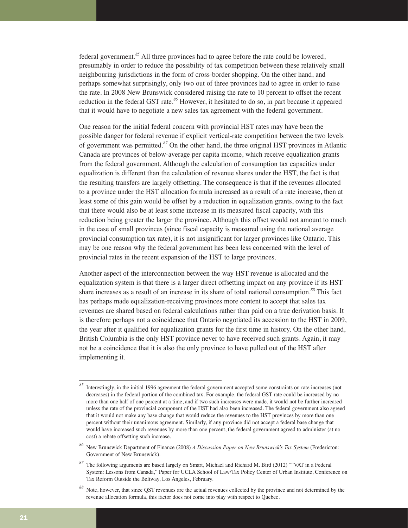federal government.*<sup>85</sup>* All three provinces had to agree before the rate could be lowered, presumably in order to reduce the possibility of tax competition between these relatively small neighbouring jurisdictions in the form of cross-border shopping. On the other hand, and perhaps somewhat surprisingly, only two out of three provinces had to agree in order to raise the rate. In 2008 New Brunswick considered raising the rate to 10 percent to offset the recent reduction in the federal GST rate.*<sup>86</sup>* However, it hesitated to do so, in part because it appeared that it would have to negotiate a new sales tax agreement with the federal government.

One reason for the initial federal concern with provincial HST rates may have been the possible danger for federal revenue if explicit vertical-rate competition between the two levels of government was permitted.*<sup>87</sup>* On the other hand, the three original HST provinces in Atlantic Canada are provinces of below-average per capita income, which receive equalization grants from the federal government. Although the calculation of consumption tax capacities under equalization is different than the calculation of revenue shares under the HST, the fact is that the resulting transfers are largely offsetting. The consequence is that if the revenues allocated to a province under the HST allocation formula increased as a result of a rate increase, then at least some of this gain would be offset by a reduction in equalization grants, owing to the fact that there would also be at least some increase in its measured fiscal capacity, with this reduction being greater the larger the province. Although this offset would not amount to much in the case of small provinces (since fiscal capacity is measured using the national average provincial consumption tax rate), it is not insignificant for larger provinces like Ontario. This may be one reason why the federal government has been less concerned with the level of provincial rates in the recent expansion of the HST to large provinces.

Another aspect of the interconnection between the way HST revenue is allocated and the equalization system is that there is a larger direct offsetting impact on any province if its HST share increases as a result of an increase in its share of total national consumption.*<sup>88</sup>* This fact has perhaps made equalization-receiving provinces more content to accept that sales tax revenues are shared based on federal calculations rather than paid on a true derivation basis. It is therefore perhaps not a coincidence that Ontario negotiated its accession to the HST in 2009, the year after it qualified for equalization grants for the first time in history. On the other hand, British Columbia is the only HST province never to have received such grants. Again, it may not be a coincidence that it is also the only province to have pulled out of the HST after implementing it.

*<sup>85</sup>* Interestingly, in the initial 1996 agreement the federal government accepted some constraints on rate increases (not decreases) in the federal portion of the combined tax. For example, the federal GST rate could be increased by no more than one half of one percent at a time, and if two such increases were made, it would not be further increased unless the rate of the provincial component of the HST had also been increased. The federal government also agreed that it would not make any base change that would reduce the revenues to the HST provinces by more than one percent without their unanimous agreement. Similarly, if any province did not accept a federal base change that would have increased such revenues by more than one percent, the federal government agreed to administer (at no cost) a rebate offsetting such increase.

*<sup>86</sup>* New Brunswick Department of Finance (2008) *A Discussion Paper on New Brunswick's Tax System* (Fredericton: Government of New Brunswick).

*<sup>87</sup>* The following arguments are based largely on Smart, Michael and Richard M. Bird (2012) ""VAT in a Federal System: Lessons from Canada," Paper for UCLA School of Law/Tax Policy Center of Urban Institute, Conference on Tax Reform Outside the Beltway, Los Angeles, February.

*<sup>88</sup>* Note, however, that since QST revenues are the actual revenues collected by the province and not determined by the revenue allocation formula, this factor does not come into play with respect to Quebec.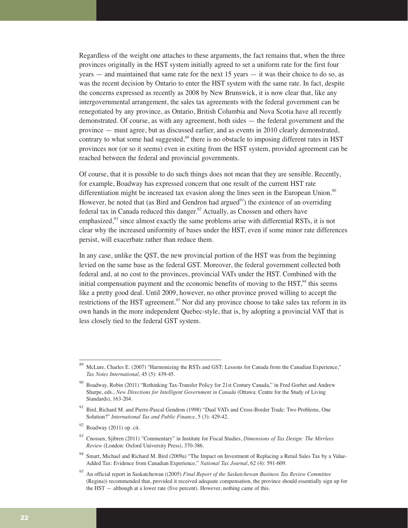Regardless of the weight one attaches to these arguments, the fact remains that, when the three provinces originally in the HST system initially agreed to set a uniform rate for the first four years — and maintained that same rate for the next 15 years — it was their choice to do so, as was the recent decision by Ontario to enter the HST system with the same rate. In fact, despite the concerns expressed as recently as 2008 by New Brunswick, it is now clear that, like any intergovernmental arrangement, the sales tax agreements with the federal government can be renegotiated by any province, as Ontario, British Columbia and Nova Scotia have all recently demonstrated. Of course, as with any agreement, both sides — the federal government and the province — must agree, but as discussed earlier, and as events in 2010 clearly demonstrated, contrary to what some had suggested,*<sup>89</sup>* there is no obstacle to imposing different rates in HST provinces nor (or so it seems) even in exiting from the HST system, provided agreement can be reached between the federal and provincial governments.

Of course, that it is possible to do such things does not mean that they are sensible. Recently, for example, Boadway has expressed concern that one result of the current HST rate differentiation might be increased tax evasion along the lines seen in the European Union.*<sup>90</sup>* However, he noted that (as Bird and Gendron had argued*<sup>91</sup>*) the existence of an overriding federal tax in Canada reduced this danger.*<sup>92</sup>* Actually, as Cnossen and others have emphasized,<sup>93</sup> since almost exactly the same problems arise with differential RSTs, it is not clear why the increased uniformity of bases under the HST, even if some minor rate differences persist, will exacerbate rather than reduce them.

In any case, unlike the QST, the new provincial portion of the HST was from the beginning levied on the same base as the federal GST. Moreover, the federal government collected both federal and, at no cost to the provinces, provincial VATs under the HST. Combined with the initial compensation payment and the economic benefits of moving to the HST,*<sup>94</sup>* this seems like a pretty good deal. Until 2009, however, no other province proved willing to accept the restrictions of the HST agreement.*<sup>95</sup>* Nor did any province choose to take sales tax reform in its own hands in the more independent Quebec-style, that is, by adopting a provincial VAT that is less closely tied to the federal GST system.

*<sup>89</sup>* McLure, Charles E. (2007) "Harmonizing the RSTs and GST: Lessons for Canada from the Canadian Experience," *Tax Notes International*, 45 (5): 439-45.

*<sup>90</sup>* Boadway, Robin (2011) "Rethinking Tax-Transfer Policy for 21st Century Canada," in Fred Gorbet and Andrew Sharpe, eds., *New Directions for Intelligent Government in Canada* (Ottawa: Centre for the Study of Living Standards), 163-204.

*<sup>91</sup>* Bird, Richard M. and Pierre-Pascal Gendron (1998) "Dual VATs and Cross-Border Trade: Two Problems, One Solution?" *International Tax and Public Finance*, 5 (3): 429-42.

*<sup>92</sup>* Boadway (2011) op. cit.

*<sup>93</sup>* Cnossen, Sjibren (2011) "Commentary" in Institute for Fiscal Studies, *Dimensions of Tax Design: The Mirrlees Review* (London: Oxford University Press), 370-386.

*<sup>94</sup>* Smart, Michael and Richard M. Bird (2009a) "The Impact on Investment of Replacing a Retail Sales Tax by a Value-Added Tax: Evidence from Canadian Experience," *National Tax Journal*, 62 (4): 591-609.

*<sup>95</sup>* An official report in Saskatchewan ((2005) *Final Report of the Saskatchewan Business Tax Review Committee* (Regina)) recommended that, provided it received adequate compensation, the province should essentially sign up for the HST — although at a lower rate (five percent). However, nothing came of this.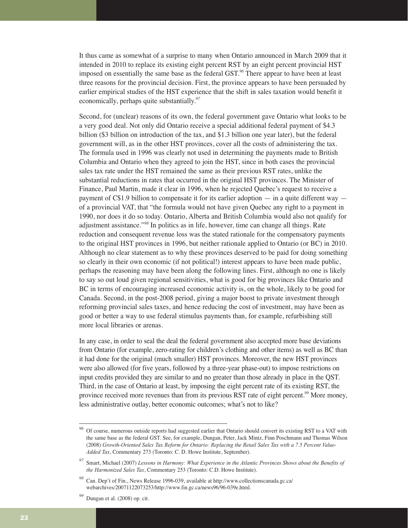It thus came as somewhat of a surprise to many when Ontario announced in March 2009 that it intended in 2010 to replace its existing eight percent RST by an eight percent provincial HST imposed on essentially the same base as the federal GST.*<sup>96</sup>* There appear to have been at least three reasons for the provincial decision. First, the province appears to have been persuaded by earlier empirical studies of the HST experience that the shift in sales taxation would benefit it economically, perhaps quite substantially.*<sup>97</sup>*

Second, for (unclear) reasons of its own, the federal government gave Ontario what looks to be a very good deal. Not only did Ontario receive a special additional federal payment of \$4.3 billion (\$3 billion on introduction of the tax, and \$1.3 billion one year later), but the federal government will, as in the other HST provinces, cover all the costs of administering the tax. The formula used in 1996 was clearly not used in determining the payments made to British Columbia and Ontario when they agreed to join the HST, since in both cases the provincial sales tax rate under the HST remained the same as their previous RST rates, unlike the substantial reductions in rates that occurred in the original HST provinces. The Minister of Finance, Paul Martin, made it clear in 1996, when he rejected Quebec's request to receive a payment of C\$1.9 billion to compensate it for its earlier adoption — in a quite different way of a provincial VAT, that "the formula would not have given Quebec any right to a payment in 1990, nor does it do so today. Ontario, Alberta and British Columbia would also not qualify for adjustment assistance."*<sup>98</sup>* In politics as in life, however, time can change all things. Rate reduction and consequent revenue loss was the stated rationale for the compensatory payments to the original HST provinces in 1996, but neither rationale applied to Ontario (or BC) in 2010. Although no clear statement as to why these provinces deserved to be paid for doing something so clearly in their own economic (if not political!) interest appears to have been made public, perhaps the reasoning may have been along the following lines. First, although no one is likely to say so out loud given regional sensitivities, what is good for big provinces like Ontario and BC in terms of encouraging increased economic activity is, on the whole, likely to be good for Canada. Second, in the post-2008 period, giving a major boost to private investment through reforming provincial sales taxes, and hence reducing the cost of investment, may have been as good or better a way to use federal stimulus payments than, for example, refurbishing still more local libraries or arenas.

In any case, in order to seal the deal the federal government also accepted more base deviations from Ontario (for example, zero-rating for children's clothing and other items) as well as BC than it had done for the original (much smaller) HST provinces. Moreover, the new HST provinces were also allowed (for five years, followed by a three-year phase-out) to impose restrictions on input credits provided they are similar to and no greater than those already in place in the QST. Third, in the case of Ontario at least, by imposing the eight percent rate of its existing RST, the province received more revenues than from its previous RST rate of eight percent.*<sup>99</sup>* More money, less administrative outlay, better economic outcomes; what's not to like?

*<sup>96</sup>* Of course, numerous outside reports had suggested earlier that Ontario should convert its existing RST to a VAT with the same base as the federal GST. See, for example, Dungan, Peter, Jack Mintz, Finn Poschmann and Thomas Wilson (2008) *Growth-Oriented Sales Tax Reform for Ontario: Replacing the Retail Sales Tax with a 7.5 Percent Value-Added Tax*, Commentary 273 (Toronto: C. D. Howe Institute, September).

*<sup>97</sup>* Smart, Michael (2007) *Lessons in Harmony: What Experience in the Atlantic Provinces Shows about the Benefits of the Harmonized Sales Tax*, Commentary 253 (Toronto: C.D. Howe Institute).

*<sup>98</sup>* Can. Dep't of Fin., News Release 1996-039, available at http://www.collectionscanada.gc.ca/ webarchives/20071122073253/http://www.fin.gc.ca/news96/96-039e.html.

*<sup>99</sup>* Dungan et al. (2008) op. cit.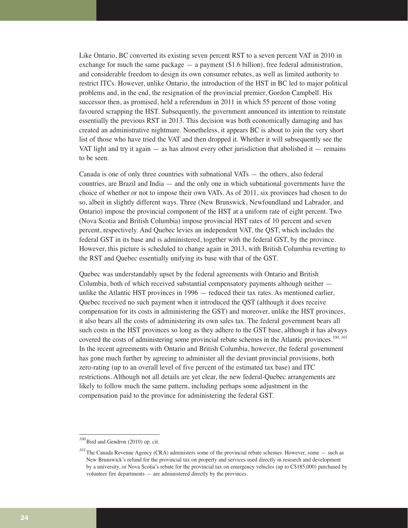Like Ontario, BC converted its existing seven percent RST to a seven percent VAT in 2010 in exchange for much the same package  $-$  a payment  $(\$1.6$  billion), free federal administration, and considerable freedom to design its own consumer rebates, as well as limited authority to restrict ITCs. However, unlike Ontario, the introduction of the HST in BC led to major political problems and, in the end, the resignation of the provincial premier, Gordon Campbell. His successor then, as promised, held a referendum in 2011 in which 55 percent of those voting favoured scrapping the HST. Subsequently, the government announced its intention to reinstate essentially the previous RST in 2013. This decision was both economically damaging and has created an administrative nightmare. Nonetheless, it appears BC is about to join the very short list of those who have tried the VAT and then dropped it. Whether it will subsequently see the VAT light and try it again  $-$  as has almost every other jurisdiction that abolished it  $-$  remains to be seen.

Canada is one of only three countries with subnational VATs — the others, also federal countries, are Brazil and India — and the only one in which subnational governments have the choice of whether or not to impose their own VATs. As of 2011, six provinces had chosen to do so, albeit in slightly different ways. Three (New Brunswick, Newfoundland and Labrador, and Ontario) impose the provincial component of the HST at a uniform rate of eight percent. Two (Nova Scotia and British Columbia) impose provincial HST rates of 10 percent and seven percent, respectively. And Quebec levies an independent VAT, the QST, which includes the federal GST in its base and is administered, together with the federal GST, by the province. However, this picture is scheduled to change again in 2013, with British Columbia reverting to the RST and Quebec essentially unifying its base with that of the GST.

Quebec was understandably upset by the federal agreements with Ontario and British Columbia, both of which received substantial compensatory payments although neither unlike the Atlantic HST provinces in 1996 — reduced their tax rates. As mentioned earlier, Quebec received no such payment when it introduced the QST (although it does receive compensation for its costs in administering the GST) and moreover, unlike the HST provinces, it also bears all the costs of administering its own sales tax. The federal government bears all such costs in the HST provinces so long as they adhere to the GST base, although it has always covered the costs of administering some provincial rebate schemes in the Atlantic provinces.*100, 101* In the recent agreements with Ontario and British Columbia, however, the federal government has gone much further by agreeing to administer all the deviant provincial provisions, both zero-rating (up to an overall level of five percent of the estimated tax base) and ITC restrictions. Although not all details are yet clear, the new federal-Quebec arrangements are likely to follow much the same pattern, including perhaps some adjustment in the compensation paid to the province for administering the federal GST.

*<sup>100</sup>*Bird and Gendron (2010) op. cit.

<sup>&</sup>lt;sup>101</sup>The Canada Revenue Agency (CRA) administers some of the provincial rebate schemes. However, some — such as New Brunswick's refund for the provincial tax on property and services used directly in research and development by a university, or Nova Scotia's rebate for the provincial tax on emergency vehicles (up to C\$185,000) purchased by volunteer fire departments — are administered directly by the provinces.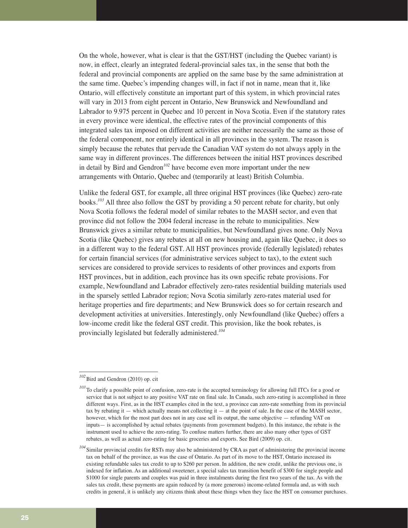On the whole, however, what is clear is that the GST/HST (including the Quebec variant) is now, in effect, clearly an integrated federal-provincial sales tax, in the sense that both the federal and provincial components are applied on the same base by the same administration at the same time. Quebec's impending changes will, in fact if not in name, mean that it, like Ontario, will effectively constitute an important part of this system, in which provincial rates will vary in 2013 from eight percent in Ontario, New Brunswick and Newfoundland and Labrador to 9.975 percent in Quebec and 10 percent in Nova Scotia. Even if the statutory rates in every province were identical, the effective rates of the provincial components of this integrated sales tax imposed on different activities are neither necessarily the same as those of the federal component, nor entirely identical in all provinces in the system. The reason is simply because the rebates that pervade the Canadian VAT system do not always apply in the same way in different provinces. The differences between the initial HST provinces described in detail by Bird and Gendron*<sup>102</sup>* have become even more important under the new arrangements with Ontario, Quebec and (temporarily at least) British Columbia.

Unlike the federal GST, for example, all three original HST provinces (like Quebec) zero-rate books.*<sup>103</sup>* All three also follow the GST by providing a 50 percent rebate for charity, but only Nova Scotia follows the federal model of similar rebates to the MASH sector, and even that province did not follow the 2004 federal increase in the rebate to municipalities. New Brunswick gives a similar rebate to municipalities, but Newfoundland gives none. Only Nova Scotia (like Quebec) gives any rebates at all on new housing and, again like Quebec, it does so in a different way to the federal GST. All HST provinces provide (federally legislated) rebates for certain financial services (for administrative services subject to tax), to the extent such services are considered to provide services to residents of other provinces and exports from HST provinces, but in addition, each province has its own specific rebate provisions. For example, Newfoundland and Labrador effectively zero-rates residential building materials used in the sparsely settled Labrador region; Nova Scotia similarly zero-rates material used for heritage properties and fire departments; and New Brunswick does so for certain research and development activities at universities. Interestingly, only Newfoundland (like Quebec) offers a low-income credit like the federal GST credit. This provision, like the book rebates, is provincially legislated but federally administered.*<sup>104</sup>*

*<sup>102</sup>*Bird and Gendron (2010) op. cit

<sup>&</sup>lt;sup>103</sup>To clarify a possible point of confusion, zero-rate is the accepted terminology for allowing full ITCs for a good or service that is not subject to any positive VAT rate on final sale. In Canada, such zero-rating is accomplished in three different ways. First, as in the HST examples cited in the text, a province can zero-rate something from its provincial tax by rebating it — which actually means not collecting it — at the point of sale. In the case of the MASH sector, however, which for the most part does not in any case sell its output, the same objective — refunding VAT on inputs— is accomplished by actual rebates (payments from government budgets). In this instance, the rebate is the instrument used to achieve the zero-rating. To confuse matters further, there are also many other types of GST rebates, as well as actual zero-rating for basic groceries and exports. See Bird (2009) op. cit.

*<sup>104</sup>*Similar provincial credits for RSTs may also be administered by CRA as part of administering the provincial income tax on behalf of the province, as was the case of Ontario. As part of its move to the HST, Ontario increased its existing refundable sales tax credit to up to \$260 per person. In addition, the new credit, unlike the previous one, is indexed for inflation. As an additional sweetener, a special sales tax transition benefit of \$300 for single people and \$1000 for single parents and couples was paid in three instalments during the first two years of the tax. As with the sales tax credit, these payments are again reduced by (a more generous) income-related formula and, as with such credits in general, it is unlikely any citizens think about these things when they face the HST on consumer purchases.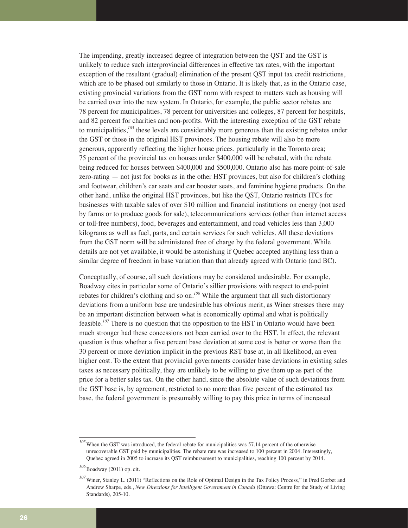The impending, greatly increased degree of integration between the QST and the GST is unlikely to reduce such interprovincial differences in effective tax rates, with the important exception of the resultant (gradual) elimination of the present QST input tax credit restrictions, which are to be phased out similarly to those in Ontario. It is likely that, as in the Ontario case, existing provincial variations from the GST norm with respect to matters such as housing will be carried over into the new system. In Ontario, for example, the public sector rebates are 78 percent for municipalities, 78 percent for universities and colleges, 87 percent for hospitals, and 82 percent for charities and non-profits. With the interesting exception of the GST rebate to municipalities,*<sup>105</sup>* these levels are considerably more generous than the existing rebates under the GST or those in the original HST provinces. The housing rebate will also be more generous, apparently reflecting the higher house prices, particularly in the Toronto area; 75 percent of the provincial tax on houses under \$400,000 will be rebated, with the rebate being reduced for houses between \$400,000 and \$500,000. Ontario also has more point-of-sale zero-rating — not just for books as in the other HST provinces, but also for children's clothing and footwear, children's car seats and car booster seats, and feminine hygiene products. On the other hand, unlike the original HST provinces, but like the QST, Ontario restricts ITCs for businesses with taxable sales of over \$10 million and financial institutions on energy (not used by farms or to produce goods for sale), telecommunications services (other than internet access or toll-free numbers), food, beverages and entertainment, and road vehicles less than 3,000 kilograms as well as fuel, parts, and certain services for such vehicles. All these deviations from the GST norm will be administered free of charge by the federal government. While details are not yet available, it would be astonishing if Quebec accepted anything less than a similar degree of freedom in base variation than that already agreed with Ontario (and BC).

Conceptually, of course, all such deviations may be considered undesirable. For example, Boadway cites in particular some of Ontario's sillier provisions with respect to end-point rebates for children's clothing and so on.*<sup>106</sup>* While the argument that all such distortionary deviations from a uniform base are undesirable has obvious merit, as Winer stresses there may be an important distinction between what is economically optimal and what is politically feasible.*<sup>107</sup>* There is no question that the opposition to the HST in Ontario would have been much stronger had these concessions not been carried over to the HST. In effect, the relevant question is thus whether a five percent base deviation at some cost is better or worse than the 30 percent or more deviation implicit in the previous RST base at, in all likelihood, an even higher cost. To the extent that provincial governments consider base deviations in existing sales taxes as necessary politically, they are unlikely to be willing to give them up as part of the price for a better sales tax. On the other hand, since the absolute value of such deviations from the GST base is, by agreement, restricted to no more than five percent of the estimated tax base, the federal government is presumably willing to pay this price in terms of increased

<sup>&</sup>lt;sup>105</sup>When the GST was introduced, the federal rebate for municipalities was 57.14 percent of the otherwise unrecoverable GST paid by municipalities. The rebate rate was increased to 100 percent in 2004. Interestingly, Quebec agreed in 2005 to increase its QST reimbursement to municipalities, reaching 100 percent by 2014.

<sup>&</sup>lt;sup>106</sup> Boadway (2011) op. cit.

*<sup>107</sup>*Winer, Stanley L. (2011) "Reflections on the Role of Optimal Design in the Tax Policy Process," in Fred Gorbet and Andrew Sharpe, eds., *New Directions for Intelligent Government in Canada* (Ottawa: Centre for the Study of Living Standards), 205-10.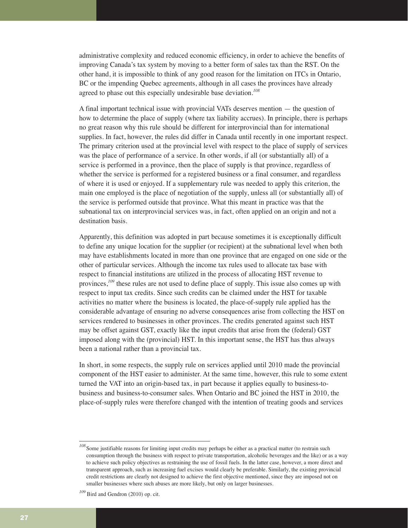administrative complexity and reduced economic efficiency, in order to achieve the benefits of improving Canada's tax system by moving to a better form of sales tax than the RST. On the other hand, it is impossible to think of any good reason for the limitation on ITCs in Ontario, BC or the impending Quebec agreements, although in all cases the provinces have already agreed to phase out this especially undesirable base deviation.*<sup>108</sup>*

A final important technical issue with provincial VATs deserves mention — the question of how to determine the place of supply (where tax liability accrues). In principle, there is perhaps no great reason why this rule should be different for interprovincial than for international supplies. In fact, however, the rules did differ in Canada until recently in one important respect. The primary criterion used at the provincial level with respect to the place of supply of services was the place of performance of a service. In other words, if all (or substantially all) of a service is performed in a province, then the place of supply is that province, regardless of whether the service is performed for a registered business or a final consumer, and regardless of where it is used or enjoyed. If a supplementary rule was needed to apply this criterion, the main one employed is the place of negotiation of the supply, unless all (or substantially all) of the service is performed outside that province. What this meant in practice was that the subnational tax on interprovincial services was, in fact, often applied on an origin and not a destination basis.

Apparently, this definition was adopted in part because sometimes it is exceptionally difficult to define any unique location for the supplier (or recipient) at the subnational level when both may have establishments located in more than one province that are engaged on one side or the other of particular services. Although the income tax rules used to allocate tax base with respect to financial institutions are utilized in the process of allocating HST revenue to provinces,<sup>109</sup> these rules are not used to define place of supply. This issue also comes up with respect to input tax credits. Since such credits can be claimed under the HST for taxable activities no matter where the business is located, the place-of-supply rule applied has the considerable advantage of ensuring no adverse consequences arise from collecting the HST on services rendered to businesses in other provinces. The credits generated against such HST may be offset against GST, exactly like the input credits that arise from the (federal) GST imposed along with the (provincial) HST. In this important sense, the HST has thus always been a national rather than a provincial tax.

In short, in some respects, the supply rule on services applied until 2010 made the provincial component of the HST easier to administer. At the same time, however, this rule to some extent turned the VAT into an origin-based tax, in part because it applies equally to business-tobusiness and business-to-consumer sales. When Ontario and BC joined the HST in 2010, the place-of-supply rules were therefore changed with the intention of treating goods and services

*<sup>108</sup>*Some justifiable reasons for limiting input credits may perhaps be either as a practical matter (to restrain such consumption through the business with respect to private transportation, alcoholic beverages and the like) or as a way to achieve such policy objectives as restraining the use of fossil fuels. In the latter case, however, a more direct and transparent approach, such as increasing fuel excises would clearly be preferable. Similarly, the existing provincial credit restrictions are clearly not designed to achieve the first objective mentioned, since they are imposed not on smaller businesses where such abuses are more likely, but only on larger businesses.

*<sup>109</sup>*Bird and Gendron (2010) op. cit.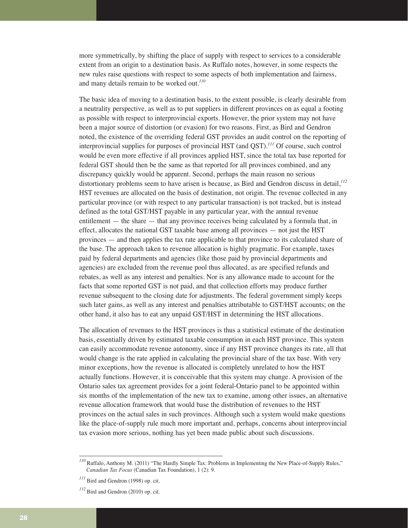more symmetrically, by shifting the place of supply with respect to services to a considerable extent from an origin to a destination basis. As Ruffalo notes, however, in some respects the new rules raise questions with respect to some aspects of both implementation and fairness, and many details remain to be worked out.*<sup>110</sup>*

The basic idea of moving to a destination basis, to the extent possible, is clearly desirable from a neutrality perspective, as well as to put suppliers in different provinces on as equal a footing as possible with respect to interprovincial exports. However, the prior system may not have been a major source of distortion (or evasion) for two reasons. First, as Bird and Gendron noted, the existence of the overriding federal GST provides an audit control on the reporting of interprovincial supplies for purposes of provincial HST (and QST).*<sup>111</sup>* Of course, such control would be even more effective if all provinces applied HST, since the total tax base reported for federal GST should then be the same as that reported for all provinces combined, and any discrepancy quickly would be apparent. Second, perhaps the main reason no serious distortionary problems seem to have arisen is because, as Bird and Gendron discuss in detail,*<sup>112</sup>* HST revenues are allocated on the basis of destination, not origin. The revenue collected in any particular province (or with respect to any particular transaction) is not tracked, but is instead defined as the total GST/HST payable in any particular year, with the annual revenue entitlement — the share — that any province receives being calculated by a formula that, in effect, allocates the national GST taxable base among all provinces — not just the HST provinces — and then applies the tax rate applicable to that province to its calculated share of the base. The approach taken to revenue allocation is highly pragmatic. For example, taxes paid by federal departments and agencies (like those paid by provincial departments and agencies) are excluded from the revenue pool thus allocated, as are specified refunds and rebates, as well as any interest and penalties. Nor is any allowance made to account for the facts that some reported GST is not paid, and that collection efforts may produce further revenue subsequent to the closing date for adjustments. The federal government simply keeps such later gains, as well as any interest and penalties attributable to GST/HST accounts; on the other hand, it also has to eat any unpaid GST/HST in determining the HST allocations.

The allocation of revenues to the HST provinces is thus a statistical estimate of the destination basis, essentially driven by estimated taxable consumption in each HST province. This system can easily accommodate revenue autonomy, since if any HST province changes its rate, all that would change is the rate applied in calculating the provincial share of the tax base. With very minor exceptions, how the revenue is allocated is completely unrelated to how the HST actually functions. However, it is conceivable that this system may change. A provision of the Ontario sales tax agreement provides for a joint federal-Ontario panel to be appointed within six months of the implementation of the new tax to examine, among other issues, an alternative revenue allocation framework that would base the distribution of revenues to the HST provinces on the actual sales in such provinces. Although such a system would make questions like the place-of-supply rule much more important and, perhaps, concerns about interprovincial tax evasion more serious, nothing has yet been made public about such discussions.

*<sup>110</sup>*Ruffalo, Anthony M. (2011) "The Hardly Simple Tax: Problems in Implementing the New Place-of-Supply Rules," *Canadian Tax Focus* (Canadian Tax Foundation), 1 (2): 9.

 $111$  Bird and Gendron (1998) op. cit.

 $^{112}$  Bird and Gendron (2010) op. cit.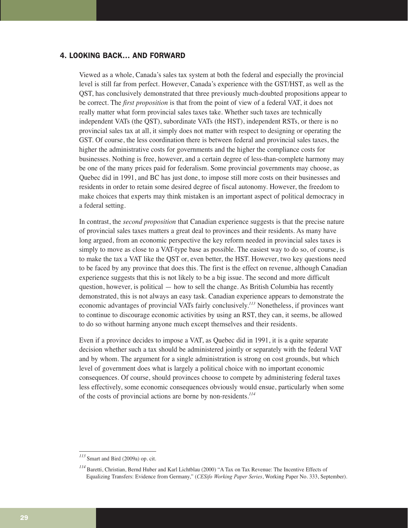# 4. LOOKING BACK… AND FORWARD

Viewed as a whole, Canada's sales tax system at both the federal and especially the provincial level is still far from perfect. However, Canada's experience with the GST/HST, as well as the QST, has conclusively demonstrated that three previously much-doubted propositions appear to be correct. The *first proposition* is that from the point of view of a federal VAT, it does not really matter what form provincial sales taxes take. Whether such taxes are technically independent VATs (the QST), subordinate VATs (the HST), independent RSTs, or there is no provincial sales tax at all, it simply does not matter with respect to designing or operating the GST. Of course, the less coordination there is between federal and provincial sales taxes, the higher the administrative costs for governments and the higher the compliance costs for businesses. Nothing is free, however, and a certain degree of less-than-complete harmony may be one of the many prices paid for federalism. Some provincial governments may choose, as Quebec did in 1991, and BC has just done, to impose still more costs on their businesses and residents in order to retain some desired degree of fiscal autonomy. However, the freedom to make choices that experts may think mistaken is an important aspect of political democracy in a federal setting.

In contrast, the *second proposition* that Canadian experience suggests is that the precise nature of provincial sales taxes matters a great deal to provinces and their residents. As many have long argued, from an economic perspective the key reform needed in provincial sales taxes is simply to move as close to a VAT-type base as possible. The easiest way to do so, of course, is to make the tax a VAT like the QST or, even better, the HST. However, two key questions need to be faced by any province that does this. The first is the effect on revenue, although Canadian experience suggests that this is not likely to be a big issue. The second and more difficult question, however, is political  $-$  how to sell the change. As British Columbia has recently demonstrated, this is not always an easy task. Canadian experience appears to demonstrate the economic advantages of provincial VATs fairly conclusively.*<sup>113</sup>* Nonetheless, if provinces want to continue to discourage economic activities by using an RST, they can, it seems, be allowed to do so without harming anyone much except themselves and their residents.

Even if a province decides to impose a VAT, as Quebec did in 1991, it is a quite separate decision whether such a tax should be administered jointly or separately with the federal VAT and by whom. The argument for a single administration is strong on cost grounds, but which level of government does what is largely a political choice with no important economic consequences. Of course, should provinces choose to compete by administering federal taxes less effectively, some economic consequences obviously would ensue, particularly when some of the costs of provincial actions are borne by non-residents.*<sup>114</sup>*

*<sup>113</sup>*Smart and Bird (2009a) op. cit.

*<sup>114</sup>*Baretti, Christian, Bernd Huber and Karl Lichtblau (2000) "A Tax on Tax Revenue: The Incentive Effects of Equalizing Transfers: Evidence from Germany," (*CESifo Working Paper Series*, Working Paper No. 333, September).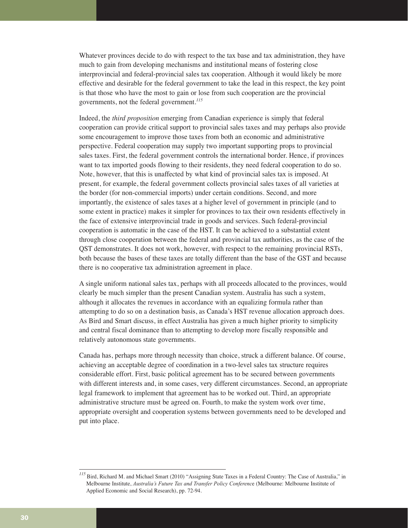Whatever provinces decide to do with respect to the tax base and tax administration, they have much to gain from developing mechanisms and institutional means of fostering close interprovincial and federal-provincial sales tax cooperation. Although it would likely be more effective and desirable for the federal government to take the lead in this respect, the key point is that those who have the most to gain or lose from such cooperation are the provincial governments, not the federal government.*<sup>115</sup>*

Indeed, the *third proposition* emerging from Canadian experience is simply that federal cooperation can provide critical support to provincial sales taxes and may perhaps also provide some encouragement to improve those taxes from both an economic and administrative perspective. Federal cooperation may supply two important supporting props to provincial sales taxes. First, the federal government controls the international border. Hence, if provinces want to tax imported goods flowing to their residents, they need federal cooperation to do so. Note, however, that this is unaffected by what kind of provincial sales tax is imposed. At present, for example, the federal government collects provincial sales taxes of all varieties at the border (for non-commercial imports) under certain conditions. Second, and more importantly, the existence of sales taxes at a higher level of government in principle (and to some extent in practice) makes it simpler for provinces to tax their own residents effectively in the face of extensive interprovincial trade in goods and services. Such federal-provincial cooperation is automatic in the case of the HST. It can be achieved to a substantial extent through close cooperation between the federal and provincial tax authorities, as the case of the QST demonstrates. It does not work, however, with respect to the remaining provincial RSTs, both because the bases of these taxes are totally different than the base of the GST and because there is no cooperative tax administration agreement in place.

A single uniform national sales tax, perhaps with all proceeds allocated to the provinces, would clearly be much simpler than the present Canadian system. Australia has such a system, although it allocates the revenues in accordance with an equalizing formula rather than attempting to do so on a destination basis, as Canada's HST revenue allocation approach does. As Bird and Smart discuss, in effect Australia has given a much higher priority to simplicity and central fiscal dominance than to attempting to develop more fiscally responsible and relatively autonomous state governments.

Canada has, perhaps more through necessity than choice, struck a different balance. Of course, achieving an acceptable degree of coordination in a two-level sales tax structure requires considerable effort. First, basic political agreement has to be secured between governments with different interests and, in some cases, very different circumstances. Second, an appropriate legal framework to implement that agreement has to be worked out. Third, an appropriate administrative structure must be agreed on. Fourth, to make the system work over time, appropriate oversight and cooperation systems between governments need to be developed and put into place.

<sup>&</sup>lt;sup>115</sup> Bird, Richard M. and Michael Smart (2010) "Assigning State Taxes in a Federal Country: The Case of Australia," in Melbourne Institute, *Australia's Future Tax and Transfer Policy Conferenc*e (Melbourne: Melbourne Institute of Applied Economic and Social Research), pp. 72-94.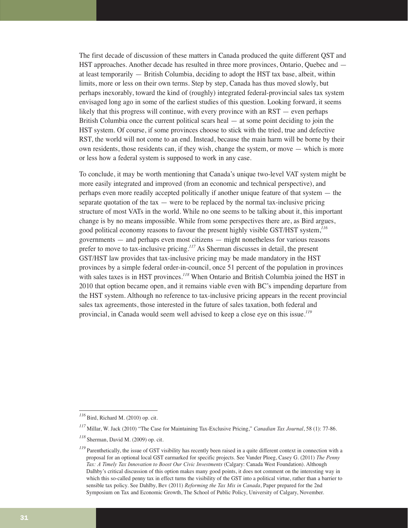The first decade of discussion of these matters in Canada produced the quite different QST and HST approaches. Another decade has resulted in three more provinces, Ontario, Quebec and at least temporarily — British Columbia, deciding to adopt the HST tax base, albeit, within limits, more or less on their own terms. Step by step, Canada has thus moved slowly, but perhaps inexorably, toward the kind of (roughly) integrated federal-provincial sales tax system envisaged long ago in some of the earliest studies of this question. Looking forward, it seems likely that this progress will continue, with every province with an RST — even perhaps British Columbia once the current political scars heal — at some point deciding to join the HST system. Of course, if some provinces choose to stick with the tried, true and defective RST, the world will not come to an end. Instead, because the main harm will be borne by their own residents, those residents can, if they wish, change the system, or move — which is more or less how a federal system is supposed to work in any case.

To conclude, it may be worth mentioning that Canada's unique two-level VAT system might be more easily integrated and improved (from an economic and technical perspective), and perhaps even more readily accepted politically if another unique feature of that system — the separate quotation of the tax  $-$  were to be replaced by the normal tax-inclusive pricing structure of most VATs in the world. While no one seems to be talking about it, this important change is by no means impossible. While from some perspectives there are, as Bird argues, good political economy reasons to favour the present highly visible GST/HST system,*<sup>116</sup>* governments — and perhaps even most citizens — might nonetheless for various reasons prefer to move to tax-inclusive pricing.*<sup>117</sup>* As Sherman discusses in detail, the present GST/HST law provides that tax-inclusive pricing may be made mandatory in the HST provinces by a simple federal order-in-council, once 51 percent of the population in provinces with sales taxes is in HST provinces.*<sup>118</sup>* When Ontario and British Columbia joined the HST in 2010 that option became open, and it remains viable even with BC's impending departure from the HST system. Although no reference to tax-inclusive pricing appears in the recent provincial sales tax agreements, those interested in the future of sales taxation, both federal and provincial, in Canada would seem well advised to keep a close eye on this issue.*<sup>119</sup>*

*<sup>116</sup>*Bird, Richard M. (2010) op. cit.

*<sup>117</sup>*Millar, W. Jack (2010) "The Case for Maintaining Tax-Exclusive Pricing," *Canadian Tax Journal*, 58 (1): 77-86.

*<sup>118</sup>*Sherman, David M. (2009) op. cit.

<sup>&</sup>lt;sup>119</sup> Parenthetically, the issue of GST visibility has recently been raised in a quite different context in connection with a proposal for an optional local GST earmarked for specific projects. See Vander Ploeg, Casey G. (2011) *The Penny Tax: A Timely Tax Innovation to Boost Our Civic Investments* (Calgary: Canada West Foundation). Although Dalhby's critical discussion of this option makes many good points, it does not comment on the interesting way in which this so-called penny tax in effect turns the visibility of the GST into a political virtue, rather than a barrier to sensible tax policy. See Dahlby, Bev (2011) *Reforming the Tax Mix in Canada*, Paper prepared for the 2nd Symposium on Tax and Economic Growth, The School of Public Policy, University of Calgary, November.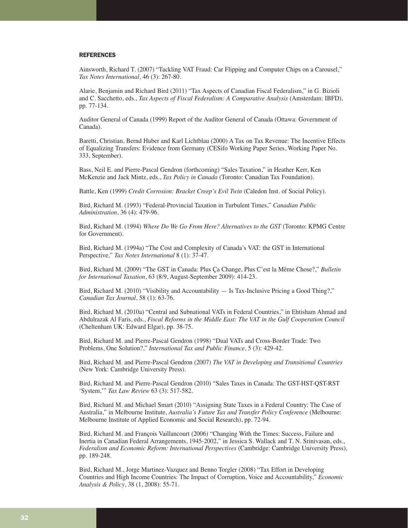#### **REFERENCES**

Ainsworth, Richard T. (2007) "Tackling VAT Fraud: Car Flipping and Computer Chips on a Carousel," *Tax Notes International*, 46 (3): 267-80.

Alarie, Benjamin and Richard Bird (2011) "Tax Aspects of Canadian Fiscal Federalism," in G. Bizioli and C. Sacchetto, eds., *Tax Aspects of Fiscal Federalism: A Comparative Analysis* (Amsterdam: IBFD), pp. 77-134.

Auditor General of Canada (1999) Report of the Auditor General of Canada (Ottawa: Government of Canada).

Baretti, Christian, Bernd Huber and Karl Lichtblau (2000) A Tax on Tax Revenue: The Incentive Effects of Equalizing Transfers: Evidence from Germany (CESifo Working Paper Series, Working Paper No. 333, September).

Bass, Neil E. and Pierre-Pascal Gendron (forthcoming) "Sales Taxation," in Heather Kerr, Ken McKenzie and Jack Mintz, eds., *Tax Policy in Canada* (Toronto: Canadian Tax Foundation).

Battle, Ken (1999) *Credit Corrosion: Bracket Creep's Evil Twin* (Caledon Inst. of Social Policy).

Bird, Richard M. (1993) "Federal-Provincial Taxation in Turbulent Times," *Canadian Public Administration*, 36 (4): 479-96.

Bird, Richard M. (1994) *Where Do We Go From Here? Alternatives to the GST* (Toronto: KPMG Centre for Government).

Bird, Richard M. (1994a) "The Cost and Complexity of Canada's VAT: the GST in International Perspective," *Tax Notes International* 8 (1): 37-47.

Bird, Richard M. (2009) "The GST in Canada: Plus Ça Change, Plus C'est la Même Chose?," *Bulletin for International Taxation*, 63 (8/9, August-September 2009): 414-23.

Bird, Richard M. (2010) "Visibility and Accountability — Is Tax-Inclusive Pricing a Good Thing?," *Canadian Tax Journal*, 58 (1): 63-76.

Bird, Richard M. (2010a) "Central and Subnational VATs in Federal Countries," in Ehtisham Ahmad and Abdulrazak Al Faris, eds., *Fiscal Reforms in the Middle East: The VAT in the Gulf Cooperation Council* (Cheltenham UK: Edward Elgar), pp. 38-75.

Bird, Richard M. and Pierre-Pascal Gendron (1998) "Dual VATs and Cross-Border Trade: Two Problems, One Solution?," *International Tax and Public Finance*, 5 (3): 429-42.

Bird, Richard M. and Pierre-Pascal Gendron (2007) *The VAT in Developing and Transitional Countries* (New York: Cambridge University Press).

Bird, Richard M. and Pierre-Pascal Gendron (2010) "Sales Taxes in Canada: The GST-HST-QST-RST 'System,'" *Tax Law Review* 63 (3): 517-582.

Bird, Richard M. and Michael Smart (2010) "Assigning State Taxes in a Federal Country: The Case of Australia," in Melbourne Institute, *Australia's Future Tax and Transfer Policy Conference* (Melbourne: Melbourne Institute of Applied Economic and Social Research), pp. 72-94.

Bird, Richard M. and François Vaillancourt (2006) "Changing With the Times: Success, Failure and Inertia in Canadian Federal Arrangements, 1945-2002," in Jessica S. Wallack and T. N. Srinivasan, eds., *Federalism and Economic Reform: International Perspectives* (Cambridge: Cambridge University Press), pp. 189-248.

Bird, Richard M., Jorge Martinez-Vazquez and Benno Torgler (2008) "Tax Effort in Developing Countries and High Income Countries: The Impact of Corruption, Voice and Accountability," *Economic Analysis & Policy*, 38 (1, 2008): 55-71.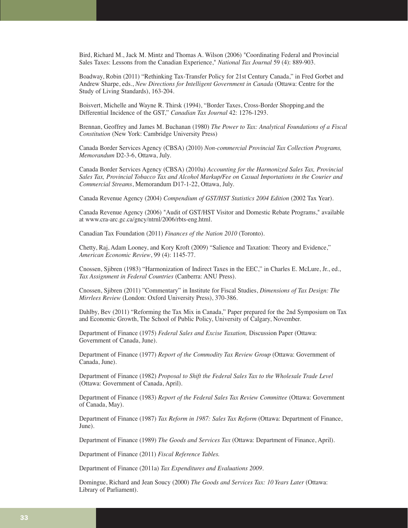Bird, Richard M., Jack M. Mintz and Thomas A. Wilson (2006) "Coordinating Federal and Provincial Sales Taxes: Lessons from the Canadian Experience," *National Tax Journal* 59 (4): 889-903.

Boadway, Robin (2011) "Rethinking Tax-Transfer Policy for 21st Century Canada," in Fred Gorbet and Andrew Sharpe, eds., *New Directions for Intelligent Government in Canada* (Ottawa: Centre for the Study of Living Standards), 163-204.

Boisvert, Michelle and Wayne R. Thirsk (1994), "Border Taxes, Cross-Border Shopping,and the Differential Incidence of the GST," *Canadian Tax Journal* 42: 1276-1293.

Brennan, Geoffrey and James M. Buchanan (1980) *The Power to Tax: Analytical Foundations of a Fiscal Constitution* (New York: Cambridge University Press)

Canada Border Services Agency (CBSA) (2010) *Non-commercial Provincial Tax Collection Programs, Memorandum* D2-3-6, Ottawa, July.

Canada Border Services Agency (CBSA) (2010a) *Accounting for the Harmonized Sales Tax, Provincial Sales Tax, Provincial Tobacco Tax and Alcohol Markup/Fee on Casual Importations in the Courier and Commercial Streams*, Memorandum D17-1-22, Ottawa, July.

Canada Revenue Agency (2004) *Compendium of GST/HST Statistics 2004 Edition* (2002 Tax Year).

Canada Revenue Agency (2006) "Audit of GST/HST Visitor and Domestic Rebate Programs," available at www.cra-arc.gc.ca/gncy/ntrnl/2006/rbts-eng.html.

Canadian Tax Foundation (2011) *Finances of the Nation 2010* (Toronto).

Chetty, Raj, Adam Looney, and Kory Kroft (2009) "Salience and Taxation: Theory and Evidence," *American Economic Review*, 99 (4): 1145-77.

Cnossen, Sjibren (1983) "Harmonization of Indirect Taxes in the EEC," in Charles E. McLure, Jr., ed., *Tax Assignment in Federal Countries* (Canberra: ANU Press).

Cnossen, Sjibren (2011) "Commentary" in Institute for Fiscal Studies, *Dimensions of Tax Design: The Mirrlees Review* (London: Oxford University Press), 370-386.

Dahlby, Bev (2011) "Reforming the Tax Mix in Canada," Paper prepared for the 2nd Symposium on Tax and Economic Growth, The School of Public Policy, University of Calgary, November.

Department of Finance (1975) *Federal Sales and Excise Taxation,* Discussion Paper (Ottawa: Government of Canada, June).

Department of Finance (1977) *Report of the Commodity Tax Review Group* (Ottawa: Government of Canada, June).

Department of Finance (1982) *Proposal to Shift the Federal Sales Tax to the Wholesale Trade Level* (Ottawa: Government of Canada, April).

Department of Finance (1983) *Report of the Federal Sales Tax Review Committee* (Ottawa: Government of Canada, May).

Department of Finance (1987) *Tax Reform in 1987: Sales Tax Reform* (Ottawa: Department of Finance, June).

Department of Finance (1989) *The Goods and Services Tax* (Ottawa: Department of Finance, April).

Department of Finance (2011) *Fiscal Reference Tables.*

Department of Finance (2011a) *Tax Expenditures and Evaluations 2009*.

Domingue, Richard and Jean Soucy (2000) *The Goods and Services Tax: 10 Years Later* (Ottawa: Library of Parliament).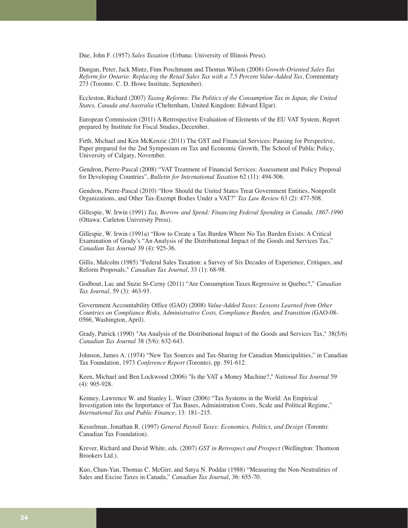Due, John F. (1957) *Sales Taxation* (Urbana: University of Illinois Press).

Dungan, Peter, Jack Mintz, Finn Poschmann and Thomas Wilson (2008) *Growth-Oriented Sales Tax Reform for Ontario: Replacing the Retail Sales Tax with a 7.5 Percent Value-Added Tax*, Commentary 273 (Toronto: C. D. Howe Institute, September).

Eccleston, Richard (2007) *Taxing Reforms: The Politics of the Consumption Tax in Japan, the United States, Canada and Australia* (Cheltenham, United Kingdom: Edward Elgar).

European Commission (2011) A Retrospective Evaluation of Elements of the EU VAT System, Report prepared by Institute for Fiscal Studies, December.

Firth, Michael and Ken McKenzie (2011) The GST and Financial Services: Pausing for Perspective, Paper prepared for the 2nd Symposium on Tax and Economic Growth, The School of Public Policy, University of Calgary, November.

Gendron, Pierre-Pascal (2008) "VAT Treatment of Financial Services: Assessment and Policy Proposal for Developing Countries", *Bulletin for International Taxation* 62 (11): 494-506.

Gendron, Pierre-Pascal (2010) "How Should the United States Treat Government Entities, Nonprofit Organizations, and Other Tax-Exempt Bodies Under a VAT?" *Tax Law Review* 63 (2): 477-508.

Gillespie, W. Irwin (1991) *Tax, Borrow and Spend: Financing Federal Spending in Canada, 1867-1990* (Ottawa: Carleton University Press).

Gillespie, W. Irwin (1991a) "How to Create a Tax Burden Where No Tax Burden Exists: A Critical Examination of Grady's "An Analysis of the Distributional Impact of the Goods and Services Tax," *Canadian Tax Journal* 39 (4): 925-36.

Gillis, Malcolm (1985) "Federal Sales Taxation: a Survey of Six Decades of Experience, Critiques, and Reform Proposals," *Canadian Tax Journal*, 33 (1): 68-98.

Godbout, Luc and Suzie St-Cerny (2011) "Are Consumption Taxes Regressive in Quebec?," *Canadian Tax Journal*, 59 (3): 463-93.

Government Accountability Office (GAO) (2008) *Value-Added Taxes: Lessons Learned from Other Countries on Compliance Risks, Administrative Costs, Compliance Burden, and Transition* (GAO-08- 0566, Washington, April).

Grady, Patrick (1990) "An Analysis of the Distributional Impact of the Goods and Services Tax," 38(5/6) *Canadian Tax Journal* 38 (5/6): 632-643.

Johnson, James A. (1974) "New Tax Sources and Tax-Sharing for Canadian Municipalities," in Canadian Tax Foundation, 1973 *Conference Report* (Toronto), pp. 591-612.

Keen, Michael and Ben Lockwood (2006) "Is the VAT a Money Machine?," *National Tax Journal* 59 (4): 905-928.

Kenney, Lawrence W. and Stanley L. Winer (2006) "Tax Systems in the World: An Empirical Investigation into the Importance of Tax Bases, Administration Costs, Scale and Political Regime," *International Tax and Public Finance*, 13: 181–215.

Kesselman, Jonathan R. (1997) *General Payroll Taxes: Economics, Politics, and Design* (Toronto: Canadian Tax Foundation).

Krever, Richard and David White, eds. (2007) *GST in Retrospect and Prospect* (Wellington: Thomson Brookers Ltd.).

Kuo, Chun-Yan, Thomas C. McGirr, and Satya N. Poddar (1988) "Measuring the Non-Neutralities of Sales and Excise Taxes in Canada," *Canadian Tax Journal*, 36: 655-70.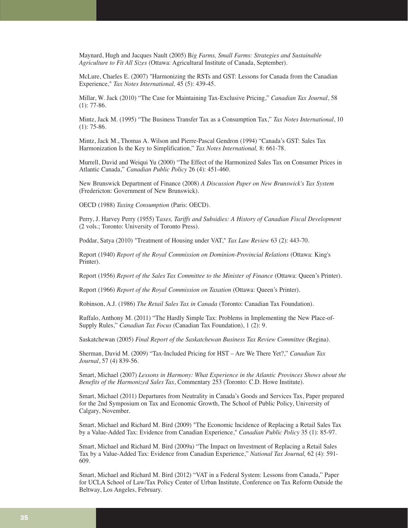Maynard, Hugh and Jacques Nault (2005) B*ig Farms, Small Farms: Strategies and Sustainable Agriculture to Fit All Sizes* (Ottawa: Agricultural Institute of Canada, September).

McLure, Charles E. (2007) "Harmonizing the RSTs and GST: Lessons for Canada from the Canadian Experience," *Tax Notes International,* 45 (5): 439-45.

Millar, W. Jack (2010) "The Case for Maintaining Tax-Exclusive Pricing," *Canadian Tax Journal*, 58  $(1): 77-86.$ 

Mintz, Jack M. (1995) "The Business Transfer Tax as a Consumption Tax," *Tax Notes International*, 10  $(1)$ : 75-86.

Mintz, Jack M., Thomas A. Wilson and Pierre-Pascal Gendron (1994) "Canada's GST: Sales Tax Harmonization Is the Key to Simplification," *Tax Notes International,* 8: 661-78.

Murrell, David and Weiqui Yu (2000) "The Effect of the Harmonized Sales Tax on Consumer Prices in Atlantic Canada," *Canadian Public Policy* 26 (4): 451-460.

New Brunswick Department of Finance (2008) *A Discussion Paper on New Brunswick's Tax System* (Fredericton: Government of New Brunswick).

OECD (1988) *Taxing Consumption* (Paris: OECD).

Perry, J. Harvey Perry (1955) T*axes, Tariffs and Subsidies: A History of Canadian Fiscal Development* (2 vols.; Toronto: University of Toronto Press).

Poddar, Satya (2010) "Treatment of Housing under VAT," *Tax Law Review* 63 (2): 443-70.

Report (1940) *Report of the Royal Commission on Dominion-Provincial Relations* (Ottawa: King's Printer).

Report (1956) *Report of the Sales Tax Committee to the Minister of Finance* (Ottawa: Queen's Printer).

Report (1966) *Report of the Royal Commission on Taxation* (Ottawa: Queen's Printer).

Robinson, A.J. (1986) *The Retail Sales Tax in Canada* (Toronto: Canadian Tax Foundation).

Ruffalo, Anthony M. (2011) "The Hardly Simple Tax: Problems in Implementing the New Place-of-Supply Rules," *Canadian Tax Focus* (Canadian Tax Foundation), 1 (2): 9.

Saskatchewan (2005) *Final Report of the Saskatchewan Business Tax Review Committee* (Regina).

Sherman, David M. (2009) "Tax-Included Pricing for HST – Are We There Yet?," *Canadian Tax Journal*, 57 (4) 839-56.

Smart, Michael (2007) *Lessons in Harmony: What Experience in the Atlantic Provinces Shows about the Benefits of the Harmonized Sales Tax*, Commentary 253 (Toronto: C.D. Howe Institute).

Smart, Michael (2011) Departures from Neutrality in Canada's Goods and Services Tax, Paper prepared for the 2nd Symposium on Tax and Economic Growth, The School of Public Policy, University of Calgary, November.

Smart, Michael and Richard M. Bird (2009) "The Economic Incidence of Replacing a Retail Sales Tax by a Value-Added Tax: Evidence from Canadian Experience," *Canadian Public Policy* 35 (1): 85-97.

Smart, Michael and Richard M. Bird (2009a) "The Impact on Investment of Replacing a Retail Sales Tax by a Value-Added Tax: Evidence from Canadian Experience," *National Tax Journal,* 62 (4): 591- 609.

Smart, Michael and Richard M. Bird (2012) "VAT in a Federal System: Lessons from Canada," Paper for UCLA School of Law/Tax Policy Center of Urban Institute, Conference on Tax Reform Outside the Beltway, Los Angeles, February.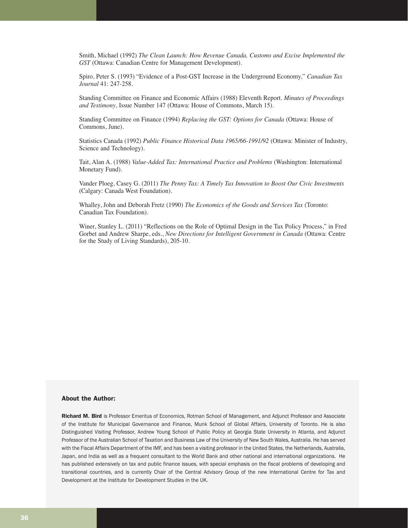Smith, Michael (1992) *The Clean Launch: How Revenue Canada, Customs and Excise Implemented the GST* (Ottawa: Canadian Centre for Management Development).

Spiro, Peter S. (1993) "Evidence of a Post-GST Increase in the Underground Economy," *Canadian Tax Journal* 41: 247-258.

Standing Committee on Finance and Economic Affairs (1988) Eleventh Report. *Minutes of Proceedings and Testimony*, Issue Number 147 (Ottawa: House of Commons, March 15).

Standing Committee on Finance (1994) *Replacing the GST: Options for Canada* (Ottawa: House of Commons, June).

Statistics Canada (1992) *Public Finance Historical Data 1965/66-1991/92* (Ottawa: Minister of Industry, Science and Technology).

Tait, Alan A. (1988) *Value-Added Tax: International Practice and Problems* (Washington: International Monetary Fund).

Vander Ploeg, Casey G. (2011) *The Penny Tax: A Timely Tax Innovation to Boost Our Civic Investments* (Calgary: Canada West Foundation).

Whalley, John and Deborah Fretz (1990) *The Economics of the Goods and Services Tax* (Toronto: Canadian Tax Foundation).

Winer, Stanley L. (2011) "Reflections on the Role of Optimal Design in the Tax Policy Process," in Fred Gorbet and Andrew Sharpe, eds., *New Directions for Intelligent Government in Canada* (Ottawa: Centre for the Study of Living Standards), 205-10.

#### About the Author:

Richard M. Bird is Professor Emeritus of Economics, Rotman School of Management, and Adjunct Professor and Associate of the Institute for Municipal Governance and Finance, Munk School of Global Affairs, University of Toronto. He is also Distinguished Visiting Professor, Andrew Young School of Public Policy at Georgia State University in Atlanta, and Adjunct Professor of the Australian School of Taxation and Business Law of the University of New South Wales, Australia. He has served with the Fiscal Affairs Department of the IMF, and has been a visiting professor in the United States, the Netherlands, Australia, Japan, and India as well as a frequent consultant to the World Bank and other national and international organizations. He has published extensively on tax and public finance issues, with special emphasis on the fiscal problems of developing and transitional countries, and is currently Chair of the Central Advisory Group of the new International Centre for Tax and Development at the Institute for Development Studies in the UK.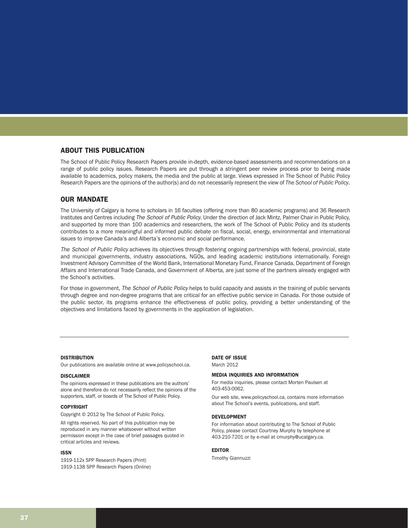# ABOUT THIS PUBLICATION

The School of Public Policy Research Papers provide in-depth, evidence-based assessments and recommendations on a range of public policy issues. Research Papers are put through a stringent peer review process prior to being made available to academics, policy makers, the media and the public at large. Views expressed in The School of Public Policy Research Papers are the opinions of the author(s) and do not necessarily represent the view of *The School of Public Policy*.

#### OUR MANDATE

The University of Calgary is home to scholars in 16 faculties (offering more than 80 academic programs) and 36 Research Institutes and Centres including The School of Public Policy. Under the direction of Jack Mintz, Palmer Chair in Public Policy, and supported by more than 100 academics and researchers, the work of The School of Public Policy and its students contributes to a more meaningful and informed public debate on fiscal, social, energy, environmental and international issues to improve Canada's and Alberta's economic and social performance.

The School of Public Policy achieves its objectives through fostering ongoing partnerships with federal, provincial, state and municipal governments, industry associations, NGOs, and leading academic institutions internationally. Foreign Investment Advisory Committee of the World Bank, International Monetary Fund, Finance Canada, Department of Foreign Affairs and International Trade Canada, and Government of Alberta, are just some of the partners already engaged with the School's activities.

For those in government, The School of Public Policy helps to build capacity and assists in the training of public servants through degree and non-degree programs that are critical for an effective public service in Canada. For those outside of the public sector, its programs enhance the effectiveness of public policy, providing a better understanding of the objectives and limitations faced by governments in the application of legislation.

#### **DISTRIBUTION**

Our publications are available online at www.policyschool.ca.

#### DISCLAIMER

The opinions expressed in these publications are the authors' alone and therefore do not necessarily reflect the opinions of the supporters, staff, or boards of The School of Public Policy.

#### COPYRIGHT

Copyright © 2012 by The School of Public Policy.

All rights reserved. No part of this publication may be reproduced in any manner whatsoever without written permission except in the case of brief passages quoted in critical articles and reviews.

#### ISSN

1919-112x SPP Research Papers (Print) 1919-1138 SPP Research Papers (Online)

#### DATE OF ISSUE

March 2012

#### MEDIA INQUIRIES AND INFORMATION

For media inquiries, please contact Morten Paulsen at 403-453-0062.

Our web site, www.policyschool.ca, contains more information about The School's events, publications, and staff.

#### DEVELOPMENT

For information about contributing to The School of Public Policy, please contact Courtney Murphy by telephone at 403-210-7201 or by e-mail at cmurphy@ucalgary.ca.

#### EDITOR

Timothy Giannuzzi